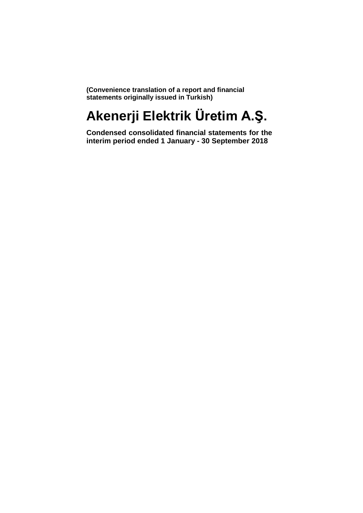**(Convenience translation of a report and financial statements originally issued in Turkish)**

# **Akenerji Elektrik Üretim A.Ş.**

**Condensed consolidated financial statements for the interim period ended 1 January - 30 September 2018**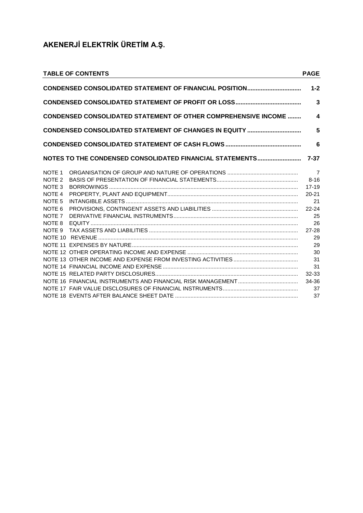|                                                                                                                                                | <b>TABLE OF CONTENTS</b>                               | <b>PAGE</b>                                                                                            |  |  |
|------------------------------------------------------------------------------------------------------------------------------------------------|--------------------------------------------------------|--------------------------------------------------------------------------------------------------------|--|--|
|                                                                                                                                                | CONDENSED CONSOLIDATED STATEMENT OF FINANCIAL POSITION | $1 - 2$                                                                                                |  |  |
|                                                                                                                                                |                                                        | 3                                                                                                      |  |  |
| <b>CONDENSED CONSOLIDATED STATEMENT OF OTHER COMPREHENSIVE INCOME </b>                                                                         |                                                        |                                                                                                        |  |  |
|                                                                                                                                                | CONDENSED CONSOLIDATED STATEMENT OF CHANGES IN EQUITY  | 5                                                                                                      |  |  |
|                                                                                                                                                |                                                        | 6                                                                                                      |  |  |
|                                                                                                                                                |                                                        |                                                                                                        |  |  |
| NOTE <sub>2</sub><br>NOTE <sub>3</sub><br>NOTE <sub>4</sub><br>NOTE <sub>5</sub><br>NOTE <sub>6</sub><br>NOTE <sub>7</sub><br>NOTE 8<br>NOTE 9 |                                                        | $8 - 16$<br>$17 - 19$<br>$20 - 21$<br>21<br>$22 - 24$<br>25<br>26<br>$27 - 28$<br>29<br>29<br>30<br>31 |  |  |
|                                                                                                                                                |                                                        | 31<br>32-33<br>34-36<br>37<br>37                                                                       |  |  |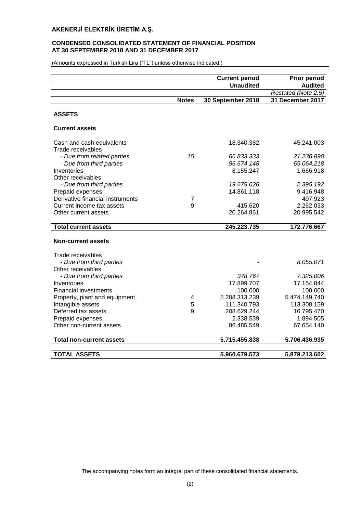## **CONDENSED CONSOLIDATED STATEMENT OF FINANCIAL POSITION AT 30 SEPTEMBER 2018 AND 31 DECEMBER 2017**

(Amounts expressed in Turkish Lira ("TL") unless otherwise indicated.)

|                                                |                | <b>Current period</b> | <b>Prior period</b> |
|------------------------------------------------|----------------|-----------------------|---------------------|
|                                                |                | <b>Unaudited</b>      | <b>Audited</b>      |
|                                                |                |                       | Restated (Note 2.5) |
|                                                | <b>Notes</b>   | 30 September 2018     | 31 December 2017    |
| <b>ASSETS</b>                                  |                |                       |                     |
| <b>Current assets</b>                          |                |                       |                     |
| Cash and cash equivalents<br>Trade receivables |                | 18.340.382            | 45.241.003          |
| - Due from related parties                     | 15             | 66.833.333            | 21.236.890          |
| - Due from third parties                       |                | 96.674.148            | 69.064.218          |
| Inventories                                    |                | 8.155.247             | 1.666.918           |
| Other receivables                              |                |                       |                     |
| - Due from third parties                       |                | 19.679.026            | 2.395.192           |
| Prepaid expenses                               |                | 14.861.118            | 9.416.948           |
| Derivative financial instruments               | $\overline{7}$ |                       | 497.923             |
| Current income tax assets                      | 9              | 415.620               | 2.262.033           |
| Other current assets                           |                | 20.264.861            | 20.995.542          |
| <b>Total current assets</b>                    |                | 245.223.735           | 172.776.667         |
|                                                |                |                       |                     |
| <b>Non-current assets</b>                      |                |                       |                     |
| Trade receivables                              |                |                       |                     |
| - Due from third parties                       |                |                       | 8.055.071           |
| Other receivables                              |                |                       |                     |
| - Due from third parties                       |                | 348.767               | 7.325.006           |
| Inventories                                    |                | 17.899.707            | 17.154.844          |
| <b>Financial investments</b>                   |                | 100.000               | 100.000             |
| Property, plant and equipment                  | 4              | 5.288.313.239         | 5.474.149.740       |
| Intangible assets                              | 5              | 111.340.793           | 113.308.159         |
| Deferred tax assets                            | 9              | 208.629.244           | 16.795.470          |
| Prepaid expenses                               |                | 2.338.539             | 1.894.505           |
| Other non-current assets                       |                | 86.485.549            | 67.654.140          |
| <b>Total non-current assets</b>                |                | 5.715.455.838         | 5.706.436.935       |
|                                                |                |                       |                     |
| <b>TOTAL ASSETS</b>                            |                | 5.960.679.573         | 5.879.213.602       |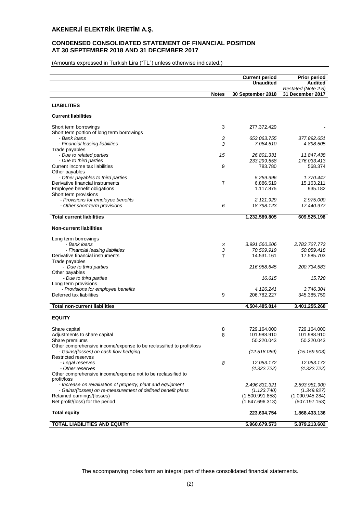## **CONDENSED CONSOLIDATED STATEMENT OF FINANCIAL POSITION AT 30 SEPTEMBER 2018 AND 31 DECEMBER 2017**

(Amounts expressed in Turkish Lira ("TL") unless otherwise indicated.)

| <b>Unaudited</b><br><b>Audited</b><br>Restated (Note 2.5)<br>31 December 2017<br><b>Notes</b><br>30 September 2018<br>LIABILITIES<br><b>Current liabilities</b><br>3<br>277.372.429<br>Short term borrowings<br>Short term portion of long term borrowings<br>- Bank Ioans<br>3<br>653.063.755<br>377.892.651<br>- Financial leasing liabilities<br>3<br>4.898.505<br>7.084.510<br>Trade payables<br>- Due to related parties<br>15<br>26.801.331<br>11.847.438<br>233.299.558<br>176.033.413<br>- Due to third parties<br>9<br>Current income tax liabilities<br>783.780<br>568.374<br>Other payables<br>- Other payables to third parties<br>5.259.996<br>1.770.447<br>Derivative financial instruments<br>7<br>6.886.519<br>15.163.211<br>Employee benefit obligations<br>1.117.875<br>935.182<br>Short term provisions<br>- Provisions for employee benefits<br>2.121.929<br>2.975.000<br>6<br>18.798.123<br>17.440.977<br>- Other short-term provisions<br><b>Total current liabilities</b><br>1.232.589.805<br>609.525.198<br><b>Non-current liabilities</b><br>Long term borrowings<br>3<br>3.991.560.206<br>2.783.727.773<br>- Bank Ioans<br>- Financial leasing liabilities<br>3<br>70.509.919<br>50.059.418<br>Derivative financial instruments<br>$\overline{7}$<br>14.531.161<br>17.585.703<br>Trade payables<br>200.734.583<br>- Due to third parties<br>216.958.645<br>Other payables<br>- Due to third parties<br>16.615<br>15.728<br>Long term provisions<br>- Provisions for employee benefits<br>4.126.241<br>3.746.304<br>Deferred tax liabilities<br>9<br>206.782.227<br>345.385.759<br>4.504.485.014<br>3.401.255.268<br><b>Total non-current liabilities</b><br><b>EQUITY</b><br>Share capital<br>8<br>729.164.000<br>729.164.000<br>Adjustments to share capital<br>8<br>101.988.910<br>101.988.910<br>Share premiums<br>50.220.043<br>50.220.043<br>Other comprehensive income/expense to be reclassified to profit/loss<br>- Gains/(losses) on cash flow hedging<br>(12.518.059)<br>(15.159.903)<br>Restricted reserves<br>- Legal reserves<br>12.053.172<br>12.053.172<br>8<br>- Other reserves<br>(4.322.722)<br>(4.322.722)<br>Other comprehensive income/expense not to be reclassified to<br>profit/loss<br>- Increase on revaluation of property, plant and equipment<br>2.496.831.321<br>2.593.981.900<br>- Gains/(losses) on re-measurement of defined benefit plans<br>(1.123.740)<br>(1.349.827)<br>Retained earnings/(losses)<br>(1.500.991.858)<br>(1.090.945.284)<br>(1.647.696.313)<br>Net profit/(loss) for the period<br>(507.197.153)<br><b>Total equity</b><br>223.604.754<br>1.868.433.136 |                                     | <b>Current period</b> | <b>Prior period</b> |
|----------------------------------------------------------------------------------------------------------------------------------------------------------------------------------------------------------------------------------------------------------------------------------------------------------------------------------------------------------------------------------------------------------------------------------------------------------------------------------------------------------------------------------------------------------------------------------------------------------------------------------------------------------------------------------------------------------------------------------------------------------------------------------------------------------------------------------------------------------------------------------------------------------------------------------------------------------------------------------------------------------------------------------------------------------------------------------------------------------------------------------------------------------------------------------------------------------------------------------------------------------------------------------------------------------------------------------------------------------------------------------------------------------------------------------------------------------------------------------------------------------------------------------------------------------------------------------------------------------------------------------------------------------------------------------------------------------------------------------------------------------------------------------------------------------------------------------------------------------------------------------------------------------------------------------------------------------------------------------------------------------------------------------------------------------------------------------------------------------------------------------------------------------------------------------------------------------------------------------------------------------------------------------------------------------------------------------------------------------------------------------------------------------------------------------------------------------------------------------------------------------------------------------------------------------------------------------------------------------------------------------------|-------------------------------------|-----------------------|---------------------|
|                                                                                                                                                                                                                                                                                                                                                                                                                                                                                                                                                                                                                                                                                                                                                                                                                                                                                                                                                                                                                                                                                                                                                                                                                                                                                                                                                                                                                                                                                                                                                                                                                                                                                                                                                                                                                                                                                                                                                                                                                                                                                                                                                                                                                                                                                                                                                                                                                                                                                                                                                                                                                                        |                                     |                       |                     |
|                                                                                                                                                                                                                                                                                                                                                                                                                                                                                                                                                                                                                                                                                                                                                                                                                                                                                                                                                                                                                                                                                                                                                                                                                                                                                                                                                                                                                                                                                                                                                                                                                                                                                                                                                                                                                                                                                                                                                                                                                                                                                                                                                                                                                                                                                                                                                                                                                                                                                                                                                                                                                                        |                                     |                       |                     |
|                                                                                                                                                                                                                                                                                                                                                                                                                                                                                                                                                                                                                                                                                                                                                                                                                                                                                                                                                                                                                                                                                                                                                                                                                                                                                                                                                                                                                                                                                                                                                                                                                                                                                                                                                                                                                                                                                                                                                                                                                                                                                                                                                                                                                                                                                                                                                                                                                                                                                                                                                                                                                                        |                                     |                       |                     |
|                                                                                                                                                                                                                                                                                                                                                                                                                                                                                                                                                                                                                                                                                                                                                                                                                                                                                                                                                                                                                                                                                                                                                                                                                                                                                                                                                                                                                                                                                                                                                                                                                                                                                                                                                                                                                                                                                                                                                                                                                                                                                                                                                                                                                                                                                                                                                                                                                                                                                                                                                                                                                                        |                                     |                       |                     |
|                                                                                                                                                                                                                                                                                                                                                                                                                                                                                                                                                                                                                                                                                                                                                                                                                                                                                                                                                                                                                                                                                                                                                                                                                                                                                                                                                                                                                                                                                                                                                                                                                                                                                                                                                                                                                                                                                                                                                                                                                                                                                                                                                                                                                                                                                                                                                                                                                                                                                                                                                                                                                                        |                                     |                       |                     |
|                                                                                                                                                                                                                                                                                                                                                                                                                                                                                                                                                                                                                                                                                                                                                                                                                                                                                                                                                                                                                                                                                                                                                                                                                                                                                                                                                                                                                                                                                                                                                                                                                                                                                                                                                                                                                                                                                                                                                                                                                                                                                                                                                                                                                                                                                                                                                                                                                                                                                                                                                                                                                                        |                                     |                       |                     |
|                                                                                                                                                                                                                                                                                                                                                                                                                                                                                                                                                                                                                                                                                                                                                                                                                                                                                                                                                                                                                                                                                                                                                                                                                                                                                                                                                                                                                                                                                                                                                                                                                                                                                                                                                                                                                                                                                                                                                                                                                                                                                                                                                                                                                                                                                                                                                                                                                                                                                                                                                                                                                                        |                                     |                       |                     |
|                                                                                                                                                                                                                                                                                                                                                                                                                                                                                                                                                                                                                                                                                                                                                                                                                                                                                                                                                                                                                                                                                                                                                                                                                                                                                                                                                                                                                                                                                                                                                                                                                                                                                                                                                                                                                                                                                                                                                                                                                                                                                                                                                                                                                                                                                                                                                                                                                                                                                                                                                                                                                                        |                                     |                       |                     |
|                                                                                                                                                                                                                                                                                                                                                                                                                                                                                                                                                                                                                                                                                                                                                                                                                                                                                                                                                                                                                                                                                                                                                                                                                                                                                                                                                                                                                                                                                                                                                                                                                                                                                                                                                                                                                                                                                                                                                                                                                                                                                                                                                                                                                                                                                                                                                                                                                                                                                                                                                                                                                                        |                                     |                       |                     |
|                                                                                                                                                                                                                                                                                                                                                                                                                                                                                                                                                                                                                                                                                                                                                                                                                                                                                                                                                                                                                                                                                                                                                                                                                                                                                                                                                                                                                                                                                                                                                                                                                                                                                                                                                                                                                                                                                                                                                                                                                                                                                                                                                                                                                                                                                                                                                                                                                                                                                                                                                                                                                                        |                                     |                       |                     |
|                                                                                                                                                                                                                                                                                                                                                                                                                                                                                                                                                                                                                                                                                                                                                                                                                                                                                                                                                                                                                                                                                                                                                                                                                                                                                                                                                                                                                                                                                                                                                                                                                                                                                                                                                                                                                                                                                                                                                                                                                                                                                                                                                                                                                                                                                                                                                                                                                                                                                                                                                                                                                                        |                                     |                       |                     |
|                                                                                                                                                                                                                                                                                                                                                                                                                                                                                                                                                                                                                                                                                                                                                                                                                                                                                                                                                                                                                                                                                                                                                                                                                                                                                                                                                                                                                                                                                                                                                                                                                                                                                                                                                                                                                                                                                                                                                                                                                                                                                                                                                                                                                                                                                                                                                                                                                                                                                                                                                                                                                                        |                                     |                       |                     |
|                                                                                                                                                                                                                                                                                                                                                                                                                                                                                                                                                                                                                                                                                                                                                                                                                                                                                                                                                                                                                                                                                                                                                                                                                                                                                                                                                                                                                                                                                                                                                                                                                                                                                                                                                                                                                                                                                                                                                                                                                                                                                                                                                                                                                                                                                                                                                                                                                                                                                                                                                                                                                                        |                                     |                       |                     |
|                                                                                                                                                                                                                                                                                                                                                                                                                                                                                                                                                                                                                                                                                                                                                                                                                                                                                                                                                                                                                                                                                                                                                                                                                                                                                                                                                                                                                                                                                                                                                                                                                                                                                                                                                                                                                                                                                                                                                                                                                                                                                                                                                                                                                                                                                                                                                                                                                                                                                                                                                                                                                                        |                                     |                       |                     |
|                                                                                                                                                                                                                                                                                                                                                                                                                                                                                                                                                                                                                                                                                                                                                                                                                                                                                                                                                                                                                                                                                                                                                                                                                                                                                                                                                                                                                                                                                                                                                                                                                                                                                                                                                                                                                                                                                                                                                                                                                                                                                                                                                                                                                                                                                                                                                                                                                                                                                                                                                                                                                                        |                                     |                       |                     |
|                                                                                                                                                                                                                                                                                                                                                                                                                                                                                                                                                                                                                                                                                                                                                                                                                                                                                                                                                                                                                                                                                                                                                                                                                                                                                                                                                                                                                                                                                                                                                                                                                                                                                                                                                                                                                                                                                                                                                                                                                                                                                                                                                                                                                                                                                                                                                                                                                                                                                                                                                                                                                                        |                                     |                       |                     |
|                                                                                                                                                                                                                                                                                                                                                                                                                                                                                                                                                                                                                                                                                                                                                                                                                                                                                                                                                                                                                                                                                                                                                                                                                                                                                                                                                                                                                                                                                                                                                                                                                                                                                                                                                                                                                                                                                                                                                                                                                                                                                                                                                                                                                                                                                                                                                                                                                                                                                                                                                                                                                                        |                                     |                       |                     |
|                                                                                                                                                                                                                                                                                                                                                                                                                                                                                                                                                                                                                                                                                                                                                                                                                                                                                                                                                                                                                                                                                                                                                                                                                                                                                                                                                                                                                                                                                                                                                                                                                                                                                                                                                                                                                                                                                                                                                                                                                                                                                                                                                                                                                                                                                                                                                                                                                                                                                                                                                                                                                                        |                                     |                       |                     |
|                                                                                                                                                                                                                                                                                                                                                                                                                                                                                                                                                                                                                                                                                                                                                                                                                                                                                                                                                                                                                                                                                                                                                                                                                                                                                                                                                                                                                                                                                                                                                                                                                                                                                                                                                                                                                                                                                                                                                                                                                                                                                                                                                                                                                                                                                                                                                                                                                                                                                                                                                                                                                                        |                                     |                       |                     |
|                                                                                                                                                                                                                                                                                                                                                                                                                                                                                                                                                                                                                                                                                                                                                                                                                                                                                                                                                                                                                                                                                                                                                                                                                                                                                                                                                                                                                                                                                                                                                                                                                                                                                                                                                                                                                                                                                                                                                                                                                                                                                                                                                                                                                                                                                                                                                                                                                                                                                                                                                                                                                                        |                                     |                       |                     |
|                                                                                                                                                                                                                                                                                                                                                                                                                                                                                                                                                                                                                                                                                                                                                                                                                                                                                                                                                                                                                                                                                                                                                                                                                                                                                                                                                                                                                                                                                                                                                                                                                                                                                                                                                                                                                                                                                                                                                                                                                                                                                                                                                                                                                                                                                                                                                                                                                                                                                                                                                                                                                                        |                                     |                       |                     |
|                                                                                                                                                                                                                                                                                                                                                                                                                                                                                                                                                                                                                                                                                                                                                                                                                                                                                                                                                                                                                                                                                                                                                                                                                                                                                                                                                                                                                                                                                                                                                                                                                                                                                                                                                                                                                                                                                                                                                                                                                                                                                                                                                                                                                                                                                                                                                                                                                                                                                                                                                                                                                                        |                                     |                       |                     |
|                                                                                                                                                                                                                                                                                                                                                                                                                                                                                                                                                                                                                                                                                                                                                                                                                                                                                                                                                                                                                                                                                                                                                                                                                                                                                                                                                                                                                                                                                                                                                                                                                                                                                                                                                                                                                                                                                                                                                                                                                                                                                                                                                                                                                                                                                                                                                                                                                                                                                                                                                                                                                                        |                                     |                       |                     |
|                                                                                                                                                                                                                                                                                                                                                                                                                                                                                                                                                                                                                                                                                                                                                                                                                                                                                                                                                                                                                                                                                                                                                                                                                                                                                                                                                                                                                                                                                                                                                                                                                                                                                                                                                                                                                                                                                                                                                                                                                                                                                                                                                                                                                                                                                                                                                                                                                                                                                                                                                                                                                                        |                                     |                       |                     |
|                                                                                                                                                                                                                                                                                                                                                                                                                                                                                                                                                                                                                                                                                                                                                                                                                                                                                                                                                                                                                                                                                                                                                                                                                                                                                                                                                                                                                                                                                                                                                                                                                                                                                                                                                                                                                                                                                                                                                                                                                                                                                                                                                                                                                                                                                                                                                                                                                                                                                                                                                                                                                                        |                                     |                       |                     |
|                                                                                                                                                                                                                                                                                                                                                                                                                                                                                                                                                                                                                                                                                                                                                                                                                                                                                                                                                                                                                                                                                                                                                                                                                                                                                                                                                                                                                                                                                                                                                                                                                                                                                                                                                                                                                                                                                                                                                                                                                                                                                                                                                                                                                                                                                                                                                                                                                                                                                                                                                                                                                                        |                                     |                       |                     |
|                                                                                                                                                                                                                                                                                                                                                                                                                                                                                                                                                                                                                                                                                                                                                                                                                                                                                                                                                                                                                                                                                                                                                                                                                                                                                                                                                                                                                                                                                                                                                                                                                                                                                                                                                                                                                                                                                                                                                                                                                                                                                                                                                                                                                                                                                                                                                                                                                                                                                                                                                                                                                                        |                                     |                       |                     |
|                                                                                                                                                                                                                                                                                                                                                                                                                                                                                                                                                                                                                                                                                                                                                                                                                                                                                                                                                                                                                                                                                                                                                                                                                                                                                                                                                                                                                                                                                                                                                                                                                                                                                                                                                                                                                                                                                                                                                                                                                                                                                                                                                                                                                                                                                                                                                                                                                                                                                                                                                                                                                                        |                                     |                       |                     |
|                                                                                                                                                                                                                                                                                                                                                                                                                                                                                                                                                                                                                                                                                                                                                                                                                                                                                                                                                                                                                                                                                                                                                                                                                                                                                                                                                                                                                                                                                                                                                                                                                                                                                                                                                                                                                                                                                                                                                                                                                                                                                                                                                                                                                                                                                                                                                                                                                                                                                                                                                                                                                                        |                                     |                       |                     |
|                                                                                                                                                                                                                                                                                                                                                                                                                                                                                                                                                                                                                                                                                                                                                                                                                                                                                                                                                                                                                                                                                                                                                                                                                                                                                                                                                                                                                                                                                                                                                                                                                                                                                                                                                                                                                                                                                                                                                                                                                                                                                                                                                                                                                                                                                                                                                                                                                                                                                                                                                                                                                                        |                                     |                       |                     |
|                                                                                                                                                                                                                                                                                                                                                                                                                                                                                                                                                                                                                                                                                                                                                                                                                                                                                                                                                                                                                                                                                                                                                                                                                                                                                                                                                                                                                                                                                                                                                                                                                                                                                                                                                                                                                                                                                                                                                                                                                                                                                                                                                                                                                                                                                                                                                                                                                                                                                                                                                                                                                                        |                                     |                       |                     |
|                                                                                                                                                                                                                                                                                                                                                                                                                                                                                                                                                                                                                                                                                                                                                                                                                                                                                                                                                                                                                                                                                                                                                                                                                                                                                                                                                                                                                                                                                                                                                                                                                                                                                                                                                                                                                                                                                                                                                                                                                                                                                                                                                                                                                                                                                                                                                                                                                                                                                                                                                                                                                                        |                                     |                       |                     |
|                                                                                                                                                                                                                                                                                                                                                                                                                                                                                                                                                                                                                                                                                                                                                                                                                                                                                                                                                                                                                                                                                                                                                                                                                                                                                                                                                                                                                                                                                                                                                                                                                                                                                                                                                                                                                                                                                                                                                                                                                                                                                                                                                                                                                                                                                                                                                                                                                                                                                                                                                                                                                                        |                                     |                       |                     |
|                                                                                                                                                                                                                                                                                                                                                                                                                                                                                                                                                                                                                                                                                                                                                                                                                                                                                                                                                                                                                                                                                                                                                                                                                                                                                                                                                                                                                                                                                                                                                                                                                                                                                                                                                                                                                                                                                                                                                                                                                                                                                                                                                                                                                                                                                                                                                                                                                                                                                                                                                                                                                                        |                                     |                       |                     |
|                                                                                                                                                                                                                                                                                                                                                                                                                                                                                                                                                                                                                                                                                                                                                                                                                                                                                                                                                                                                                                                                                                                                                                                                                                                                                                                                                                                                                                                                                                                                                                                                                                                                                                                                                                                                                                                                                                                                                                                                                                                                                                                                                                                                                                                                                                                                                                                                                                                                                                                                                                                                                                        |                                     |                       |                     |
|                                                                                                                                                                                                                                                                                                                                                                                                                                                                                                                                                                                                                                                                                                                                                                                                                                                                                                                                                                                                                                                                                                                                                                                                                                                                                                                                                                                                                                                                                                                                                                                                                                                                                                                                                                                                                                                                                                                                                                                                                                                                                                                                                                                                                                                                                                                                                                                                                                                                                                                                                                                                                                        |                                     |                       |                     |
|                                                                                                                                                                                                                                                                                                                                                                                                                                                                                                                                                                                                                                                                                                                                                                                                                                                                                                                                                                                                                                                                                                                                                                                                                                                                                                                                                                                                                                                                                                                                                                                                                                                                                                                                                                                                                                                                                                                                                                                                                                                                                                                                                                                                                                                                                                                                                                                                                                                                                                                                                                                                                                        |                                     |                       |                     |
|                                                                                                                                                                                                                                                                                                                                                                                                                                                                                                                                                                                                                                                                                                                                                                                                                                                                                                                                                                                                                                                                                                                                                                                                                                                                                                                                                                                                                                                                                                                                                                                                                                                                                                                                                                                                                                                                                                                                                                                                                                                                                                                                                                                                                                                                                                                                                                                                                                                                                                                                                                                                                                        |                                     |                       |                     |
|                                                                                                                                                                                                                                                                                                                                                                                                                                                                                                                                                                                                                                                                                                                                                                                                                                                                                                                                                                                                                                                                                                                                                                                                                                                                                                                                                                                                                                                                                                                                                                                                                                                                                                                                                                                                                                                                                                                                                                                                                                                                                                                                                                                                                                                                                                                                                                                                                                                                                                                                                                                                                                        |                                     |                       |                     |
|                                                                                                                                                                                                                                                                                                                                                                                                                                                                                                                                                                                                                                                                                                                                                                                                                                                                                                                                                                                                                                                                                                                                                                                                                                                                                                                                                                                                                                                                                                                                                                                                                                                                                                                                                                                                                                                                                                                                                                                                                                                                                                                                                                                                                                                                                                                                                                                                                                                                                                                                                                                                                                        |                                     |                       |                     |
|                                                                                                                                                                                                                                                                                                                                                                                                                                                                                                                                                                                                                                                                                                                                                                                                                                                                                                                                                                                                                                                                                                                                                                                                                                                                                                                                                                                                                                                                                                                                                                                                                                                                                                                                                                                                                                                                                                                                                                                                                                                                                                                                                                                                                                                                                                                                                                                                                                                                                                                                                                                                                                        |                                     |                       |                     |
|                                                                                                                                                                                                                                                                                                                                                                                                                                                                                                                                                                                                                                                                                                                                                                                                                                                                                                                                                                                                                                                                                                                                                                                                                                                                                                                                                                                                                                                                                                                                                                                                                                                                                                                                                                                                                                                                                                                                                                                                                                                                                                                                                                                                                                                                                                                                                                                                                                                                                                                                                                                                                                        |                                     |                       |                     |
|                                                                                                                                                                                                                                                                                                                                                                                                                                                                                                                                                                                                                                                                                                                                                                                                                                                                                                                                                                                                                                                                                                                                                                                                                                                                                                                                                                                                                                                                                                                                                                                                                                                                                                                                                                                                                                                                                                                                                                                                                                                                                                                                                                                                                                                                                                                                                                                                                                                                                                                                                                                                                                        |                                     |                       |                     |
|                                                                                                                                                                                                                                                                                                                                                                                                                                                                                                                                                                                                                                                                                                                                                                                                                                                                                                                                                                                                                                                                                                                                                                                                                                                                                                                                                                                                                                                                                                                                                                                                                                                                                                                                                                                                                                                                                                                                                                                                                                                                                                                                                                                                                                                                                                                                                                                                                                                                                                                                                                                                                                        |                                     |                       |                     |
|                                                                                                                                                                                                                                                                                                                                                                                                                                                                                                                                                                                                                                                                                                                                                                                                                                                                                                                                                                                                                                                                                                                                                                                                                                                                                                                                                                                                                                                                                                                                                                                                                                                                                                                                                                                                                                                                                                                                                                                                                                                                                                                                                                                                                                                                                                                                                                                                                                                                                                                                                                                                                                        |                                     |                       |                     |
|                                                                                                                                                                                                                                                                                                                                                                                                                                                                                                                                                                                                                                                                                                                                                                                                                                                                                                                                                                                                                                                                                                                                                                                                                                                                                                                                                                                                                                                                                                                                                                                                                                                                                                                                                                                                                                                                                                                                                                                                                                                                                                                                                                                                                                                                                                                                                                                                                                                                                                                                                                                                                                        |                                     |                       |                     |
|                                                                                                                                                                                                                                                                                                                                                                                                                                                                                                                                                                                                                                                                                                                                                                                                                                                                                                                                                                                                                                                                                                                                                                                                                                                                                                                                                                                                                                                                                                                                                                                                                                                                                                                                                                                                                                                                                                                                                                                                                                                                                                                                                                                                                                                                                                                                                                                                                                                                                                                                                                                                                                        |                                     |                       |                     |
|                                                                                                                                                                                                                                                                                                                                                                                                                                                                                                                                                                                                                                                                                                                                                                                                                                                                                                                                                                                                                                                                                                                                                                                                                                                                                                                                                                                                                                                                                                                                                                                                                                                                                                                                                                                                                                                                                                                                                                                                                                                                                                                                                                                                                                                                                                                                                                                                                                                                                                                                                                                                                                        |                                     |                       |                     |
|                                                                                                                                                                                                                                                                                                                                                                                                                                                                                                                                                                                                                                                                                                                                                                                                                                                                                                                                                                                                                                                                                                                                                                                                                                                                                                                                                                                                                                                                                                                                                                                                                                                                                                                                                                                                                                                                                                                                                                                                                                                                                                                                                                                                                                                                                                                                                                                                                                                                                                                                                                                                                                        |                                     |                       |                     |
|                                                                                                                                                                                                                                                                                                                                                                                                                                                                                                                                                                                                                                                                                                                                                                                                                                                                                                                                                                                                                                                                                                                                                                                                                                                                                                                                                                                                                                                                                                                                                                                                                                                                                                                                                                                                                                                                                                                                                                                                                                                                                                                                                                                                                                                                                                                                                                                                                                                                                                                                                                                                                                        | <b>TOTAL LIABILITIES AND EQUITY</b> | 5.960.679.573         | 5.879.213.602       |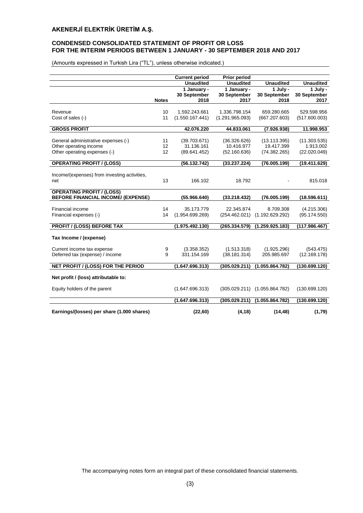## **CONDENSED CONSOLIDATED STATEMENT OF PROFIT OR LOSS FOR THE INTERIM PERIODS BETWEEN 1 JANUARY - 30 SEPTEMBER 2018 AND 2017**

(Amounts expressed in Turkish Lira ("TL"), unless otherwise indicated.)

|                                              |              | <b>Current period</b> | <b>Prior period</b> |                                   |                  |
|----------------------------------------------|--------------|-----------------------|---------------------|-----------------------------------|------------------|
|                                              |              | <b>Unaudited</b>      | <b>Unaudited</b>    | <b>Unaudited</b>                  | <b>Unaudited</b> |
|                                              |              | 1 January -           | 1 January -         | 1 July -                          | 1 July -         |
|                                              |              | 30 September          | 30 September        | 30 September                      | 30 September     |
|                                              | <b>Notes</b> | 2018                  | 2017                | 2018                              | 2017             |
|                                              |              |                       |                     |                                   |                  |
| Revenue                                      | 10           | 1.592.243.661         | 1.336.798.154       | 659.280.665                       | 529.598.956      |
| Cost of sales $(-)$                          | 11           | (1.550.167.441)       | (1.291.965.093)     | (667.207.603)                     | (517.600.003)    |
| <b>GROSS PROFIT</b>                          |              | 42.076.220            | 44.833.061          | (7.926.938)                       | 11.998.953       |
| General administrative expenses (-)          | 11           | (39.703.671)          | (36.326.626)        | (13.113.395)                      | (11.303.535)     |
| Other operating income                       | 12           | 31.136.161            | 10.416.977          | 19.417.399                        | 1.913.002        |
| Other operating expenses (-)                 | 12           | (89.641.452)          | (52.160.636)        | (74.382.265)                      | (22.020.049)     |
|                                              |              |                       |                     |                                   |                  |
| <b>OPERATING PROFIT / (LOSS)</b>             |              | (56.132.742)          | (33.237.224)        | (76.005.199)                      | (19.411.629)     |
|                                              |              |                       |                     |                                   |                  |
| Income/(expenses) from investing activities, |              |                       |                     |                                   |                  |
| net                                          | 13           | 166.102               | 18.792              |                                   | 815.018          |
| <b>OPERATING PROFIT / (LOSS)</b>             |              |                       |                     |                                   |                  |
| <b>BEFORE FINANCIAL INCOME/ (EXPENSE)</b>    |              | (55.966.640)          | (33.218.432)        | (76.005.199)                      | (18.596.611)     |
|                                              |              |                       |                     |                                   |                  |
| <b>Financial income</b>                      | 14           | 35.173.779            | 22.345.874          | 8.709.308                         | (4.215.306)      |
| Financial expenses (-)                       | 14           | (1.954.699.269)       | (254.462.021)       | (1.192.629.292)                   | (95.174.550)     |
| <b>PROFIT / (LOSS) BEFORE TAX</b>            |              | (1.975.492.130)       | (265.334.579)       | (1.259.925.183)                   | (117.986.467)    |
| Tax Income / (expense)                       |              |                       |                     |                                   |                  |
|                                              |              |                       |                     |                                   |                  |
| Current income tax expense                   | 9            | (3.358.352)           | (1.513.318)         | (1.925.296)                       | (543.475)        |
| Deferred tax (expense) / income              | 9            | 331.154.169           | (38.181.314)        | 205.985.697                       | (12.169.178)     |
|                                              |              |                       |                     |                                   |                  |
| NET PROFIT / (LOSS) FOR THE PERIOD           |              | (1.647.696.313)       | (305.029.211)       | (1.055.864.782)                   | (130.699.120)    |
| Net profit / (loss) attributable to:         |              |                       |                     |                                   |                  |
|                                              |              |                       |                     |                                   |                  |
| Equity holders of the parent                 |              | (1.647.696.313)       |                     | $(305.029.211)$ $(1.055.864.782)$ | (130.699.120)    |
|                                              |              | (1.647.696.313)       | (305.029.211)       | (1.055.864.782)                   | (130.699.120)    |
|                                              |              |                       |                     |                                   |                  |
| Earnings/(losses) per share (1.000 shares)   |              | (22, 60)              | (4, 18)             | (14, 48)                          | (1,79)           |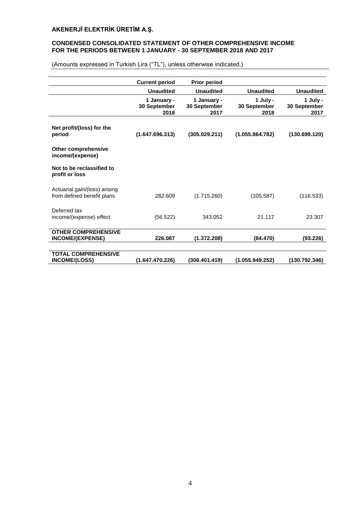#### **CONDENSED CONSOLIDATED STATEMENT OF OTHER COMPREHENSIVE INCOME FOR THE PERIODS BETWEEN 1 JANUARY - 30 SEPTEMBER 2018 AND 2017**

|                                                             | <b>Current period</b>               | <b>Prior period</b>                 |                                  |                                  |
|-------------------------------------------------------------|-------------------------------------|-------------------------------------|----------------------------------|----------------------------------|
|                                                             | <b>Unaudited</b>                    | <b>Unaudited</b>                    | <b>Unaudited</b>                 | <b>Unaudited</b>                 |
|                                                             | 1 January -<br>30 September<br>2018 | 1 January -<br>30 September<br>2017 | 1 July -<br>30 September<br>2018 | 1 July -<br>30 September<br>2017 |
| Net profit/(loss) for the<br>period                         | (1.647.696.313)                     | (305.029.211)                       | (1.055.864.782)                  | (130.699.120)                    |
| Other comprehensive<br>income/(expense)                     |                                     |                                     |                                  |                                  |
| Not to be reclassified to<br>profit or loss                 |                                     |                                     |                                  |                                  |
| Actuarial gain/(loss) arising<br>from defined benefit plans | 282.609                             | (1.715.260)                         | (105.587)                        | (116.533)                        |
| Deferred tax<br>income/(expense) effect                     | (56.522)                            | 343.052                             | 21.117                           | 23.307                           |
| <b>OTHER COMPREHENSIVE</b><br><b>INCOME/(EXPENSE)</b>       | 226.087                             | (1.372.208)                         | (84.470)                         | (93.226)                         |
| <b>TOTAL COMPREHENSIVE</b><br><b>INCOME/(LOSS)</b>          | (1.647.470.226)                     | (306.401.419)                       | (1.055.949.252)                  | (130.792.346)                    |

(Amounts expressed in Turkish Lira ("TL"), unless otherwise indicated.)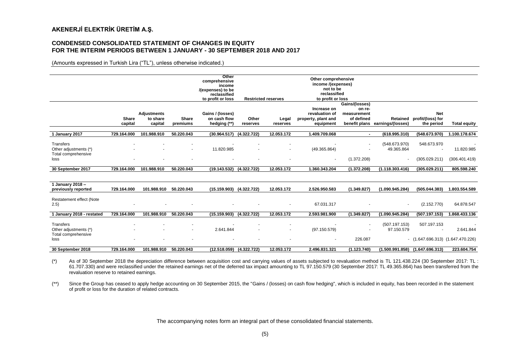#### **CONDENSED CONSOLIDATED STATEMENT OF CHANGES IN EQUITY FOR THE INTERIM PERIODS BETWEEN 1 JANUARY - 30 SEPTEMBER 2018 AND 2017**

(Amounts expressed in Turkish Lira ("TL"), unless otherwise indicated.)

|                           |              |                    |                          | Other<br>comprehensive       |             |                            | Other comprehensive |                |                   |                                     |                     |
|---------------------------|--------------|--------------------|--------------------------|------------------------------|-------------|----------------------------|---------------------|----------------|-------------------|-------------------------------------|---------------------|
|                           |              |                    |                          | income                       |             |                            | income /(expenses)  |                |                   |                                     |                     |
|                           |              |                    |                          | ((expenses) to be            |             |                            | not to be           |                |                   |                                     |                     |
|                           |              |                    |                          | reclassified                 |             |                            | reclassified        |                |                   |                                     |                     |
|                           |              |                    |                          | to profit or loss            |             | <b>Restricted reserves</b> | to profit or loss   |                |                   |                                     |                     |
|                           |              |                    |                          |                              |             |                            |                     | Gains/(losses) |                   |                                     |                     |
|                           |              |                    |                          |                              |             |                            | Increase on         | on re-         |                   |                                     |                     |
|                           |              | <b>Adjustments</b> |                          | Gains / (losses)             |             |                            | revaluation of      | measurement    |                   | <b>Net</b>                          |                     |
|                           | <b>Share</b> | to share           | <b>Share</b>             | on cash flow                 | Other       | Legal                      | property, plant and | of defined     |                   | Retained profit/(loss) for          |                     |
|                           | capital      | capital            | premiums                 | hedging (**)                 | reserves    | reserves                   | equipment           | benefit plans  | earnings/(losses) | the period                          | <b>Total equity</b> |
| 1 January 2017            | 729.164.000  | 101.988.910        | 50.220.043               | (30.964.517)                 | (4.322.722) | 12.053.172                 | 1.409.709.068       | $\sim$         | (618.995.310)     | (548.673.970)                       | 1.100.178.674       |
|                           |              |                    |                          |                              |             |                            |                     |                |                   |                                     |                     |
| Transfers                 |              |                    |                          |                              |             |                            |                     |                | (548.673.970)     | 548.673.970                         |                     |
| Other adjustments (*)     |              |                    | $\blacksquare$           | 11.820.985                   |             |                            | (49.365.864)        |                | 49.365.864        | $\overline{\phantom{a}}$            | 11.820.985          |
| Total comprehensive       |              |                    |                          |                              |             |                            |                     |                |                   |                                     |                     |
| loss                      |              | $\blacksquare$     | $\overline{\phantom{a}}$ |                              |             |                            |                     | (1.372.208)    |                   | (305.029.211)                       | (306.401.419)       |
|                           |              |                    |                          |                              |             |                            |                     |                |                   |                                     |                     |
| 30 September 2017         | 729.164.000  | 101.988.910        | 50.220.043               | (19.143.532)                 | (4.322.722) | 12.053.172                 | 1.360.343.204       | (1.372.208)    | (1.118.303.416)   | (305.029.211)                       | 805.598.240         |
|                           |              |                    |                          |                              |             |                            |                     |                |                   |                                     |                     |
| 1 January 2018 -          |              |                    |                          |                              |             |                            |                     |                |                   |                                     |                     |
| previously reported       | 729.164.000  | 101.988.910        | 50.220.043               | $(15.159.903)$ $(4.322.722)$ |             | 12.053.172                 | 2.526.950.583       | (1.349.827)    | (1.090.945.284)   | (505.044.383)                       | 1.803.554.589       |
|                           |              |                    |                          |                              |             |                            |                     |                |                   |                                     |                     |
| Restatement effect (Note  |              |                    |                          |                              |             |                            |                     |                |                   |                                     |                     |
| 2.5)                      |              |                    |                          |                              |             |                            | 67.031.317          |                | $\sim$            | (2.152.770)                         | 64.878.547          |
| 1 January 2018 - restated | 729.164.000  | 101.988.910        | 50.220.043               | (15.159.903)                 | (4.322.722) | 12.053.172                 | 2.593.981.900       | (1.349.827)    | (1.090.945.284)   | (507.197.153)                       | 1.868.433.136       |
|                           |              |                    |                          |                              |             |                            |                     |                |                   |                                     |                     |
| Transfers                 |              |                    |                          |                              |             |                            |                     |                | (507.197.153)     | 507.197.153                         |                     |
| Other adjustments (*)     |              |                    | $\overline{\phantom{a}}$ | 2.641.844                    |             | $\sim$                     | (97.150.579)        |                | 97.150.579        |                                     | 2.641.844           |
| Total comprehensive       |              |                    |                          |                              |             |                            |                     |                |                   |                                     |                     |
| loss                      |              |                    |                          |                              |             |                            | $\blacksquare$      | 226.087        |                   | $(1.647.696.313)$ $(1.647.470.226)$ |                     |
|                           |              |                    |                          |                              |             |                            |                     |                |                   |                                     |                     |
| 30 September 2018         | 729.164.000  | 101.988.910        | 50.220.043               | (12.518.059)                 | (4.322.722) | 12.053.172                 | 2.496.831.321       | (1.123.740)    | (1.500.991.858)   | (1.647.696.313)                     | 223.604.754         |

(\*) As of 30 September 2018 the depreciation difference between acquisition cost and carrying values of assets subjected to revaluation method is TL 121.438.224 (30 September 2017: TL : 61.707.330) and were reclassified under the retained earnings net of the deferred tax impact amounting to TL 97.150.579 (30 September 2017: TL 49.365.864) has been transferred from the revaluation reserve to retained earnings.

(\*\*) Since the Group has ceased to apply hedge accounting on 30 September 2015, the "Gains / (losses) on cash flow hedging", which is included in equity, has been recorded in the statement of profit or loss for the duration of related contracts.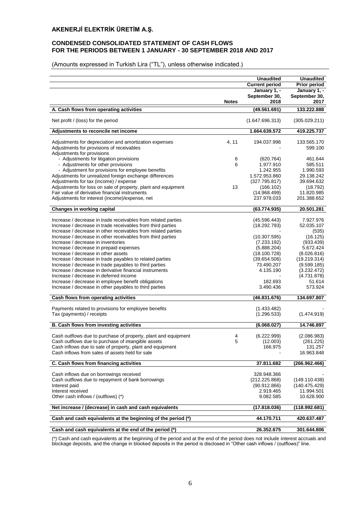## **CONDENSED CONSOLIDATED STATEMENT OF CASH FLOWS FOR THE PERIODS BETWEEN 1 JANUARY - 30 SEPTEMBER 2018 AND 2017**

(Amounts expressed in Turkish Lira ("TL"), unless otherwise indicated.)

|                                                                                                                                                                                                                                                                                                          | <b>Notes</b> | <b>Unaudited</b><br><b>Current period</b><br>January 1, -<br>September 30,<br>2018 | <b>Unaudited</b><br><b>Prior period</b><br>January 1, -<br>September 30,<br>2017 |
|----------------------------------------------------------------------------------------------------------------------------------------------------------------------------------------------------------------------------------------------------------------------------------------------------------|--------------|------------------------------------------------------------------------------------|----------------------------------------------------------------------------------|
| A. Cash flows from operating activities                                                                                                                                                                                                                                                                  |              | (49.561.691)                                                                       | 133.222.888                                                                      |
| Net profit / (loss) for the period                                                                                                                                                                                                                                                                       |              | (1.647.696.313)                                                                    | (305.029.211)                                                                    |
| Adjustments to reconcile net income                                                                                                                                                                                                                                                                      |              | 1.664.639.572                                                                      | 419.225.737                                                                      |
| Adjustments for depreciation and amortization expenses<br>Adjustments for provisions of receivables<br>Adjustments for provisions                                                                                                                                                                        | 4, 11        | 194.037.996                                                                        | 133.565.170<br>599.100                                                           |
| - Adjustments for litigation provisions<br>- Adjustments for other provisions<br>- Adjustment for provisions for employee benefits<br>Adjustments for unrealized foreign exchange differences<br>Adjustments for tax (income) / expense<br>Adjustments for loss on sale of property, plant and equipment | 6<br>6<br>13 | (620.764)<br>1.977.910<br>1.242.955<br>1.572.953.860<br>(327.795.817)<br>(166.102) | 461.644<br>585.511<br>1.990.593<br>29.138.242<br>39.694.632<br>(18.792)          |
| Fair value of derivative financial instruments<br>Adjustments for interest (income)/expense, net                                                                                                                                                                                                         |              | (14.968.499)<br>237.978.033                                                        | 11.820.985<br>201.388.652                                                        |
|                                                                                                                                                                                                                                                                                                          |              |                                                                                    |                                                                                  |
| <b>Changes in working capital</b>                                                                                                                                                                                                                                                                        |              | (63.774.935)                                                                       | 20.501.281                                                                       |
| Increase / decrease in trade receivables from related parties<br>Increase / decrease in trade receivables from third parties<br>Increase / decrease in other receivables from related parties                                                                                                            |              | (45.596.443)<br>(18.292.793)                                                       | 7.927.976<br>52.035.107<br>(535)                                                 |
| Increase / decrease in other receivables from third parties<br>Increase / decrease in inventories<br>Increase / decrease in prepaid expenses<br>Increase / decrease in other assets                                                                                                                      |              | (10.307.595)<br>(7.233.192)<br>(5.888.204)<br>(18.100.728)                         | (16.125)<br>(933.439)<br>5.672.424<br>(8.026.816)                                |
| Increase / decrease in trade payables to related parties<br>Increase / decrease in trade payables to third parties<br>Increase / decrease in derivative financial instruments<br>Increase / decrease in deferred income                                                                                  |              | (39.654.506)<br>73.490.207<br>4.135.190                                            | (19.219.314)<br>(9.599.185)<br>(3.232.472)<br>(4.731.878)                        |
| Increase / decrease in employee benefit obligations<br>Increase / decrease in other payables to third parties                                                                                                                                                                                            |              | 182.693<br>3.490.436                                                               | 51.614<br>573.924                                                                |
| Cash flows from operating activities                                                                                                                                                                                                                                                                     |              | (46.831.676)                                                                       | 134.697.807                                                                      |
| Payments related to provisions for employee benefits<br>Tax (payments) / receipts                                                                                                                                                                                                                        |              | (1.433.482)<br>(1.296.533)                                                         | (1.474.919)                                                                      |
| B. Cash flows from investing activities                                                                                                                                                                                                                                                                  |              | (6.068.027)                                                                        | 14.746.897                                                                       |
| Cash outflows due to purchase of property, plant and equipment<br>Cash outflows due to purchase of intangible assets<br>Cash inflows due to sale of property, plant and equipment<br>Cash inflows from sales of assets held for sale                                                                     | 4<br>5       | (6.222.999)<br>(12.003)<br>166.975                                                 | (2.086.983)<br>(261.225)<br>131.257<br>16.963.848                                |
| C. Cash flows from financing activities                                                                                                                                                                                                                                                                  |              | 37.811.682                                                                         | (266.962.466)                                                                    |
| Cash inflows due on borrowings received<br>Cash outflows due to repayment of bank borrowings<br>Interest paid<br>Interest received<br>Other cash inflows / (outflows) (*)                                                                                                                                |              | 328.948.366<br>(212.225.868)<br>(90.912.866)<br>2.919.465<br>9.082.585             | (149.110.438)<br>(140.475.429)<br>11.994.501<br>10.628.900                       |
| Net increase / (decrease) in cash and cash equivalents                                                                                                                                                                                                                                                   |              | (17.818.036)                                                                       | (118.992.681)                                                                    |
| Cash and cash equivalents at the beginning of the period (*)                                                                                                                                                                                                                                             |              | 44.170.711                                                                         | 420.637.487                                                                      |
| Cash and cash equivalents at the end of the period (*)                                                                                                                                                                                                                                                   |              | 26.352.675                                                                         | 301.644.806                                                                      |

(\*) Cash and cash equivalents at the beginning of the period and at the end of the period does not include interest accruals and blockage deposits, and the change in blocked deposits in the period is disclosed in "Other cash inflows / (outflows)" line.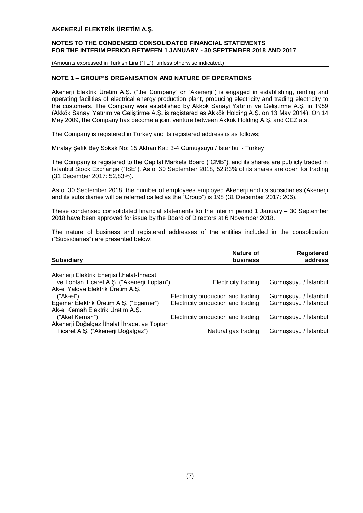#### **NOTES TO THE CONDENSED CONSOLIDATED FINANCIAL STATEMENTS FOR THE INTERIM PERIOD BETWEEN 1 JANUARY - 30 SEPTEMBER 2018 AND 2017**

(Amounts expressed in Turkish Lira ("TL"), unless otherwise indicated.)

## **NOTE 1 – GROUP'S ORGANISATION AND NATURE OF OPERATIONS**

Akenerji Elektrik Üretim A.Ş. ("the Company" or "Akenerji") is engaged in establishing, renting and operating facilities of electrical energy production plant, producing electricity and trading electricity to the customers. The Company was established by Akkök Sanayi Yatırım ve Geliştirme A.Ş. in 1989 (Akkök Sanayi Yatırım ve Geliştirme A.Ş. is registered as Akkök Holding A.Ş. on 13 May 2014). On 14 May 2009, the Company has become a joint venture between Akkök Holding A.Ş. and CEZ a.s.

The Company is registered in Turkey and its registered address is as follows;

Miralay Şefik Bey Sokak No: 15 Akhan Kat: 3-4 Gümüşsuyu / Istanbul - Turkey

The Company is registered to the Capital Markets Board ("CMB"), and its shares are publicly traded in Istanbul Stock Exchange ("ISE"). As of 30 September 2018, 52,83% of its shares are open for trading (31 December 2017: 52,83%).

As of 30 September 2018, the number of employees employed Akenerji and its subsidiaries (Akenerji and its subsidiaries will be referred called as the "Group") is 198 (31 December 2017: 206).

These condensed consolidated financial statements for the interim period 1 January – 30 September 2018 have been approved for issue by the Board of Directors at 6 November 2018.

The nature of business and registered addresses of the entities included in the consolidation ("Subsidiaries") are presented below:

| <b>Subsidiary</b>                                                                 | Nature of<br>business              | <b>Registered</b><br>address |
|-----------------------------------------------------------------------------------|------------------------------------|------------------------------|
| Akenerji Elektrik Enerjisi İthalat-İhracat                                        |                                    |                              |
| ve Toptan Ticaret A.Ş. ("Akenerji Toptan")<br>Ak-el Yalova Elektrik Üretim A.Ş.   | Electricity trading                | Gümüşsuyu / İstanbul         |
| $("Ak-el")$                                                                       | Electricity production and trading | Gümüşsuyu / İstanbul         |
| Egemer Elektrik Üretim A.Ş. ("Egemer")<br>Ak-el Kemah Elektrik Üretim A.Ş.        | Electricity production and trading | Gümüşsuyu / İstanbul         |
| ("Akel Kemah")                                                                    | Electricity production and trading | Gümüşsuyu / İstanbul         |
| Akenerji Doğalgaz İthalat İhracat ve Toptan<br>Ticaret A.Ş. ("Akenerji Doğalgaz") | Natural gas trading                | Gümüşsuyu / İstanbul         |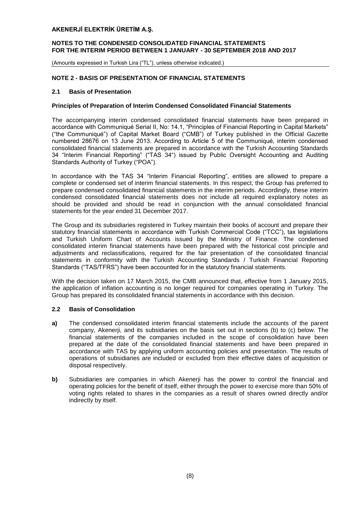#### **NOTES TO THE CONDENSED CONSOLIDATED FINANCIAL STATEMENTS FOR THE INTERIM PERIOD BETWEEN 1 JANUARY - 30 SEPTEMBER 2018 AND 2017**

(Amounts expressed in Turkish Lira ("TL"), unless otherwise indicated.)

## **NOTE 2 - BASIS OF PRESENTATION OF FINANCIAL STATEMENTS**

#### **2.1 Basis of Presentation**

#### **Principles of Preparation of Interim Condensed Consolidated Financial Statements**

The accompanying interim condensed consolidated financial statements have been prepared in accordance with Communiqué Serial II, No: 14.1, "Principles of Financial Reporting in Capital Markets" ("the Communiqué") of Capital Market Board ("CMB") of Turkey published in the Official Gazette numbered 28676 on 13 June 2013. According to Article 5 of the Communiqué, interim condensed consolidated financial statements are prepared in accordance with the Turkish Accounting Standards 34 "Interim Financial Reporting" ("TAS 34") issued by Public Oversight Accounting and Auditing Standards Authority of Turkey ("POA").

In accordance with the TAS 34 "Interim Financial Reporting", entities are allowed to prepare a complete or condensed set of interim financial statements. In this respect, the Group has preferred to prepare condensed consolidated financial statements in the interim periods. Accordingly, these interim condensed consolidated financial statements does not include all required explanatory notes as should be provided and should be read in conjunction with the annual consolidated financial statements for the year ended 31 December 2017.

The Group and its subsidiaries registered in Turkey maintain their books of account and prepare their statutory financial statements in accordance with Turkish Commercial Code ("TCC"), tax legislations and Turkish Uniform Chart of Accounts issued by the Ministry of Finance. The condensed consolidated interim financial statements have been prepared with the historical cost principle and adjustments and reclassifications, required for the fair presentation of the consolidated financial statements in conformity with the Turkish Accounting Standards / Turkish Financial Reporting Standards ("TAS/TFRS") have been accounted for in the statutory financial statements.

With the decision taken on 17 March 2015, the CMB announced that, effective from 1 January 2015, the application of inflation accounting is no longer required for companies operating in Turkey. The Group has prepared its consolidated financial statements in accordance with this decision.

#### **2.2 Basis of Consolidation**

- **a)** The condensed consolidated interim financial statements include the accounts of the parent company, Akenerji, and its subsidiaries on the basis set out in sections (b) to (c) below. The financial statements of the companies included in the scope of consolidation have been prepared at the date of the consolidated financial statements and have been prepared in accordance with TAS by applying uniform accounting policies and presentation. The results of operations of subsidiaries are included or excluded from their effective dates of acquisition or disposal respectively.
- **b)** Subsidiaries are companies in which Akenerji has the power to control the financial and operating policies for the benefit of itself, either through the power to exercise more than 50% of voting rights related to shares in the companies as a result of shares owned directly and/or indirectly by itself.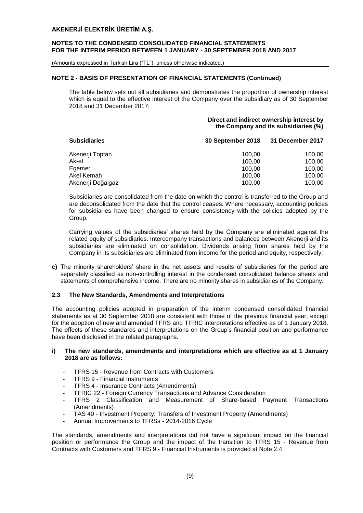#### **NOTES TO THE CONDENSED CONSOLIDATED FINANCIAL STATEMENTS FOR THE INTERIM PERIOD BETWEEN 1 JANUARY - 30 SEPTEMBER 2018 AND 2017**

(Amounts expressed in Turkish Lira ("TL"), unless otherwise indicated.)

## **NOTE 2 - BASIS OF PRESENTATION OF FINANCIAL STATEMENTS (Continued)**

The table below sets out all subsidiaries and demonstrates the proportion of ownership interest which is equal to the effective interest of the Company over the subsidiary as of 30 September 2018 and 31 December 2017:

|                     | Direct and indirect ownership interest by<br>the Company and its subsidiaries (%) |                  |  |  |
|---------------------|-----------------------------------------------------------------------------------|------------------|--|--|
| <b>Subsidiaries</b> | 30 September 2018                                                                 | 31 December 2017 |  |  |
| Akenerji Toptan     | 100,00                                                                            | 100,00           |  |  |
| Ak-el               | 100,00                                                                            | 100,00           |  |  |
| Egemer              | 100.00                                                                            | 100,00           |  |  |
| Akel Kemah          | 100,00                                                                            | 100,00           |  |  |
| Akenerji Doğalgaz   | 100,00                                                                            | 100,00           |  |  |

Subsidiaries are consolidated from the date on which the control is transferred to the Group and are deconsolidated from the date that the control ceases. Where necessary, accounting policies for subsidiaries have been changed to ensure consistency with the policies adopted by the Group.

Carrying values of the subsidiaries' shares held by the Company are eliminated against the related equity of subsidiaries. Intercompany transactions and balances between Akenerji and its subsidiaries are eliminated on consolidation. Dividends arising from shares held by the Company in its subsidiaries are eliminated from income for the period and equity, respectively.

**c)** The minority shareholders' share in the net assets and results of subsidiaries for the period are separately classified as non-controlling interest in the condensed consolidated balance sheets and statements of comprehensive income. There are no minority shares in subsidiaries of the Company.

#### **2.3 The New Standards, Amendments and Interpretations**

The accounting policies adopted in preparation of the interim condensed consolidated financial statements as at 30 September 2018 are consistent with those of the previous financial year, except for the adoption of new and amended TFRS and TFRIC interpretations effective as of 1 January 2018. The effects of these standards and interpretations on the Group's financial position and performance have been disclosed in the related paragraphs.

#### **i) The new standards, amendments and interpretations which are effective as at 1 January 2018 are as follows:**

- TFRS 15 Revenue from Contracts with Customers
- TFRS 9 Financial Instruments
- TFRS 4 Insurance Contracts (Amendments)
- TFRIC 22 Foreign Currency Transactions and Advance Consideration
- TFRS 2 Classification and Measurement of Share-based Payment Transactions (Amendments)
- TAS 40 Investment Property: [Transfers of Investment Property](http://www.ifrs.org/Current-Projects/IASB-Projects/Investment-Property-under-construct-invetory-investment-change-in-use/Pages/home.aspx) (Amendments)
- Annual Improvements to TFRSs 2014-2016 Cycle

The standards, amendments and interpretations did not have a significant impact on the financial position or performance the Group and the impact of the transition to TFRS 15 - Revenue from Contracts with Customers and TFRS 9 - Financial Instruments is provided at Note 2.4.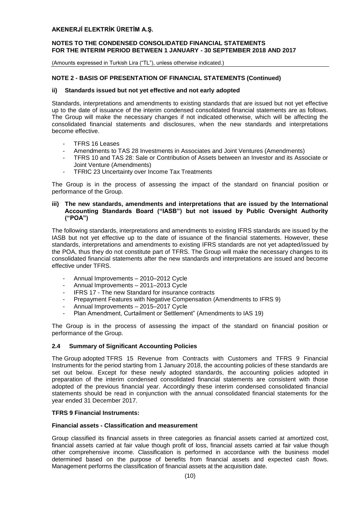#### **NOTES TO THE CONDENSED CONSOLIDATED FINANCIAL STATEMENTS FOR THE INTERIM PERIOD BETWEEN 1 JANUARY - 30 SEPTEMBER 2018 AND 2017**

(Amounts expressed in Turkish Lira ("TL"), unless otherwise indicated.)

## **NOTE 2 - BASIS OF PRESENTATION OF FINANCIAL STATEMENTS (Continued)**

#### **ii) Standards issued but not yet effective and not early adopted**

Standards, interpretations and amendments to existing standards that are issued but not yet effective up to the date of issuance of the interim condensed consolidated financial statements are as follows. The Group will make the necessary changes if not indicated otherwise, which will be affecting the consolidated financial statements and disclosures, when the new standards and interpretations become effective.

- TFRS 16 Leases
- Amendments to TAS 28 Investments in Associates and Joint Ventures (Amendments)
- TFRS 10 and TAS 28: Sale or Contribution of Assets between an Investor and its Associate or Joint Venture (Amendments)
- TFRIC 23 Uncertainty over Income Tax Treatments

The Group is in the process of assessing the impact of the standard on financial position or performance of the Group.

## **iii) The new standards, amendments and interpretations that are issued by the International Accounting Standards Board ("IASB") but not issued by Public Oversight Authority ("POA")**

The following standards, interpretations and amendments to existing IFRS standards are issued by the IASB but not yet effective up to the date of issuance of the financial statements. However, these standards, interpretations and amendments to existing IFRS standards are not yet adapted/issued by the POA, thus they do not constitute part of TFRS. The Group will make the necessary changes to its consolidated financial statements after the new standards and interpretations are issued and become effective under TFRS.

- Annual Improvements 2010–2012 Cycle
- Annual Improvements 2011–2013 Cycle
- IFRS 17 The new Standard for insurance contracts
- Prepayment Features with Negative Compensation (Amendments to IFRS 9)
- Annual Improvements 2015–2017 Cycle
- [Plan Amendment, Curtailment or Settlement"](https://www.iasplus.com/en/news/2018/02/ias-19) (Amendments to IAS 19)

The Group is in the process of assessing the impact of the standard on financial position or performance of the Group.

#### **2.4 Summary of Significant Accounting Policies**

The Group adopted TFRS 15 Revenue from Contracts with Customers and TFRS 9 Financial Instruments for the period starting from 1 January 2018, the accounting policies of these standards are set out below. Except for these newly adopted standards, the accounting policies adopted in preparation of the interim condensed consolidated financial statements are consistent with those adopted of the previous financial year. Accordingly these interim condensed consolidated financial statements should be read in conjunction with the annual consolidated financial statements for the year ended 31 December 2017.

#### **TFRS 9 Financial Instruments:**

#### **Financial assets - Classification and measurement**

Group classified its financial assets in three categories as financial assets carried at amortized cost, financial assets carried at fair value though profit of loss, financial assets carried at fair value though other comprehensive income. Classification is performed in accordance with the business model determined based on the purpose of benefits from financial assets and expected cash flows. Management performs the classification of financial assets at the acquisition date.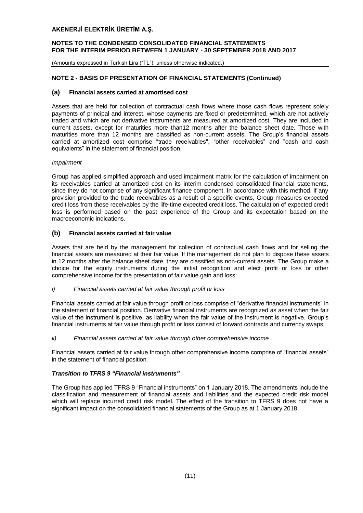#### **NOTES TO THE CONDENSED CONSOLIDATED FINANCIAL STATEMENTS FOR THE INTERIM PERIOD BETWEEN 1 JANUARY - 30 SEPTEMBER 2018 AND 2017**

(Amounts expressed in Turkish Lira ("TL"), unless otherwise indicated.)

## **NOTE 2 - BASIS OF PRESENTATION OF FINANCIAL STATEMENTS (Continued)**

#### **(a) Financial assets carried at amortised cost**

Assets that are held for collection of contractual cash flows where those cash flows represent solely payments of principal and interest, whose payments are fixed or predetermined, which are not actively traded and which are not derivative instruments are measured at amortized cost. They are included in current assets, except for maturities more than12 months after the balance sheet date. Those with maturities more than 12 months are classified as non-current assets. The Group's financial assets carried at amortized cost comprise "trade receivables", "other receivables" and "cash and cash equivalents" in the statement of financial position.

#### *Impairment*

Group has applied simplified approach and used impairment matrix for the calculation of impairment on its receivables carried at amortized cost on its interim condensed consolidated financial statements, since they do not comprise of any significant finance component. In accordance with this method, if any provision provided to the trade receivables as a result of a specific events, Group measures expected credit loss from these receivables by the life-time expected credit loss. The calculation of expected credit loss is performed based on the past experience of the Group and its expectation based on the macroeconomic indications.

## **(b) Financial assets carried at fair value**

Assets that are held by the management for collection of contractual cash flows and for selling the financial assets are measured at their fair value. If the management do not plan to dispose these assets in 12 months after the balance sheet date, they are classified as non-current assets. The Group make a choice for the equity instruments during the initial recognition and elect profit or loss or other comprehensive income for the presentation of fair value gain and loss:

#### *i) Financial assets carried at fair value through profit or loss*

Financial assets carried at fair value through profit or loss comprise of "derivative financial instruments" in the statement of financial position. Derivative financial instruments are recognized as asset when the fair value of the instrument is positive, as liability when the fair value of the instrument is negative. Group's financial instruments at fair value through profit or loss consist of forward contracts and currency swaps.

#### *ii) Financial assets carried at fair value through other comprehensive income*

Financial assets carried at fair value through other comprehensive income comprise of "financial assets" in the statement of financial position.

### *Transition to TFRS 9 "Financial instruments"*

The Group has applied TFRS 9 "Financial instruments" on 1 January 2018. The amendments include the classification and measurement of financial assets and liabilities and the expected credit risk model which will replace incurred credit risk model. The effect of the transition to TFRS 9 does not have a significant impact on the consolidated financial statements of the Group as at 1 January 2018.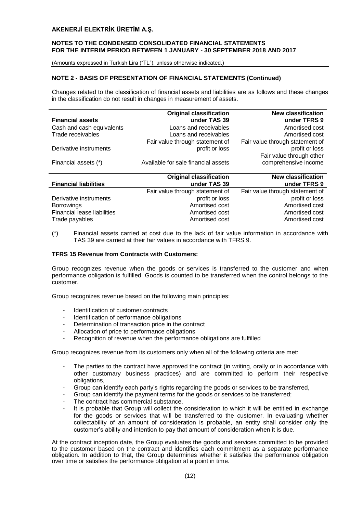#### **NOTES TO THE CONDENSED CONSOLIDATED FINANCIAL STATEMENTS FOR THE INTERIM PERIOD BETWEEN 1 JANUARY - 30 SEPTEMBER 2018 AND 2017**

(Amounts expressed in Turkish Lira ("TL"), unless otherwise indicated.)

## **NOTE 2 - BASIS OF PRESENTATION OF FINANCIAL STATEMENTS (Continued)**

Changes related to the classification of financial assets and liabilities are as follows and these changes in the classification do not result in changes in measurement of assets.

|                           | <b>Original classification</b>      | <b>New classification</b>       |
|---------------------------|-------------------------------------|---------------------------------|
| <b>Financial assets</b>   | under TAS 39                        | under TFRS 9                    |
| Cash and cash equivalents | Loans and receivables               | Amortised cost                  |
| Trade receivables         | Loans and receivables               | Amortised cost                  |
|                           | Fair value through statement of     | Fair value through statement of |
| Derivative instruments    | profit or loss                      | profit or loss                  |
|                           |                                     | Fair value through other        |
| Financial assets (*)      | Available for sale financial assets | comprehensive income            |
|                           | <b>Original classification</b>      | <b>New classification</b>       |

|                              | _____________________           |                                 |
|------------------------------|---------------------------------|---------------------------------|
| <b>Financial liabilities</b> | under TAS 39                    | under TFRS 9                    |
|                              | Fair value through statement of | Fair value through statement of |
| Derivative instruments       | profit or loss                  | profit or loss                  |
| <b>Borrowings</b>            | Amortised cost                  | Amortised cost                  |
| Financial lease liabilities  | Amortised cost                  | Amortised cost                  |
| Trade payables               | Amortised cost                  | Amortised cost                  |

(\*) Financial assets carried at cost due to the lack of fair value information in accordance with TAS 39 are carried at their fair values in accordance with TFRS 9.

## **TFRS 15 Revenue from Contracts with Customers:**

Group recognizes revenue when the goods or services is transferred to the customer and when performance obligation is fulfilled. Goods is counted to be transferred when the control belongs to the customer.

Group recognizes revenue based on the following main principles:

- Identification of customer contracts
- Identification of performance obligations
- Determination of transaction price in the contract
- Allocation of price to performance obligations
- Recognition of revenue when the performance obligations are fulfilled

Group recognizes revenue from its customers only when all of the following criteria are met:

- The parties to the contract have approved the contract (in writing, orally or in accordance with other customary business practices) and are committed to perform their respective obligations,
- Group can identify each party's rights regarding the goods or services to be transferred,
- Group can identify the payment terms for the goods or services to be transferred;
- The contract has commercial substance,
- It is probable that Group will collect the consideration to which it will be entitled in exchange for the goods or services that will be transferred to the customer. In evaluating whether collectability of an amount of consideration is probable, an entity shall consider only the customer's ability and intention to pay that amount of consideration when it is due.

At the contract inception date, the Group evaluates the goods and services committed to be provided to the customer based on the contract and identifies each commitment as a separate performance obligation. In addition to that, the Group determines whether it satisfies the performance obligation over time or satisfies the performance obligation at a point in time.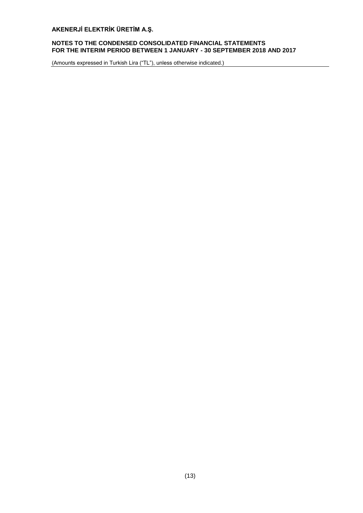## **NOTES TO THE CONDENSED CONSOLIDATED FINANCIAL STATEMENTS FOR THE INTERIM PERIOD BETWEEN 1 JANUARY - 30 SEPTEMBER 2018 AND 2017**

(Amounts expressed in Turkish Lira ("TL"), unless otherwise indicated.)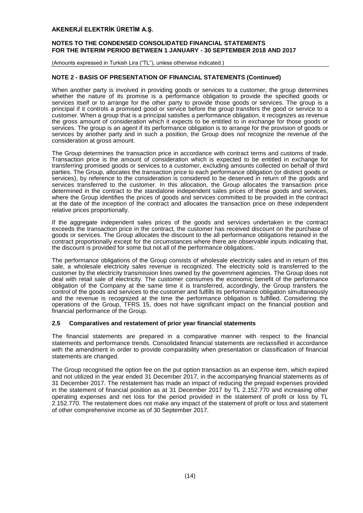#### **NOTES TO THE CONDENSED CONSOLIDATED FINANCIAL STATEMENTS FOR THE INTERIM PERIOD BETWEEN 1 JANUARY - 30 SEPTEMBER 2018 AND 2017**

(Amounts expressed in Turkish Lira ("TL"), unless otherwise indicated.)

## **NOTE 2 - BASIS OF PRESENTATION OF FINANCIAL STATEMENTS (Continued)**

When another party is involved in providing goods or services to a customer, the group determines whether the nature of its promise is a performance obligation to provide the specified goods or services itself or to arrange for the other party to provide those goods or services. The group is a principal if it controls a promised good or service before the group transfers the good or service to a customer. When a group that is a principal satisfies a performance obligation, it recognizes as revenue the gross amount of consideration which it expects to be entitled to in exchange for those goods or services. The group is an agent if its performance obligation is to arrange for the provision of goods or services by another party and in such a position, the Group does not recognize the revenue of the consideration at gross amount.

The Group determines the transaction price in accordance with contract terms and customs of trade. Transaction price is the amount of consideration which is expected to be entitled in exchange for transferring promised goods or services to a customer, excluding amounts collected on behalf of third parties. The Group, allocates the transaction price to each performance obligation (or distinct goods or services), by reference to the consideration is considered to be deserved in return of the goods and services transferred to the customer. In this allocation, the Group allocates the transaction price determined in the contract to the standalone independent sales prices of these goods and services, where the Group identifies the prices of goods and services committed to be provided in the contract at the date of the inception of the contract and allocates the transaction price on these independent relative prices proportionally.

If the aggregate independent sales prices of the goods and services undertaken in the contract exceeds the transaction price in the contract, the customer has received discount on the purchase of goods or services. The Group allocates the discount to the all performance obligations retained in the contract proportionally except for the circumstances where there are observable inputs indicating that, the discount is provided for some but not all of the performance obligations.

The performance obligations of the Group consists of wholesale electricity sales and in return of this sale, a wholesale electricity sales revenue is recognized. The electricity sold is transferred to the customer by the electricity transmission lines owned by the government agencies. The Group does not deal with retail sale of electricity. The customer consumes the economic benefit of the performance obligation of the Company at the same time it is transferred, accordingly, the Group transfers the control of the goods and services to the customer and fulfills its performance obligation simultaneously and the revenue is recognized at the time the performance obligation is fulfilled. Considering the operations of the Group, TFRS 15, does not have significant impact on the financial position and financial performance of the Group.

#### **2.5 Comparatives and restatement of prior year financial statements**

The financial statements are prepared in a comparative manner with respect to the financial statements and performance trends. Consolidated financial statements are reclassified in accordance with the amendment in order to provide comparability when presentation or classification of financial statements are changed.

The Group recognised the option fee on the put option transaction as an expense item, which expired and not utilized in the year ended 31 December 2017, in the accompanying financial statements as of 31 December 2017. The restatement has made an impact of reducing the prepaid expenses provided in the statement of financial position as at 31 December 2017 by TL 2.152.770 and increasing other operating expenses and net loss for the period provided in the statement of profit or loss by TL 2.152.770. The restatement does not make any impact of the statement of profit or loss and statement of other comprehensive income as of 30 September 2017.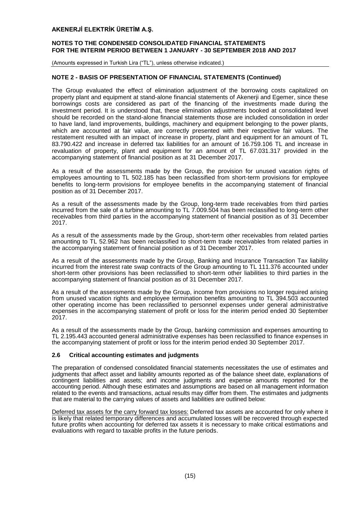#### **NOTES TO THE CONDENSED CONSOLIDATED FINANCIAL STATEMENTS FOR THE INTERIM PERIOD BETWEEN 1 JANUARY - 30 SEPTEMBER 2018 AND 2017**

(Amounts expressed in Turkish Lira ("TL"), unless otherwise indicated.)

## **NOTE 2 - BASIS OF PRESENTATION OF FINANCIAL STATEMENTS (Continued)**

The Group evaluated the effect of elimination adjustment of the borrowing costs capitalized on property plant and equipment at stand-alone financial statements of Akenerji and Egemer, since these borrowings costs are considered as part of the financing of the investments made during the investment period. It is understood that, these elimination adjustments booked at consolidated level should be recorded on the stand-alone financial statements those are included consolidation in order to have land, land improvements, buildings, machinery and equipment belonging to the power plants, which are accounted at fair value, are correctly presented with their respective fair values. The restatement resulted with an impact of increase in property, plant and equipment for an amount of TL 83.790.422 and increase in deferred tax liabilities for an amount of 16.759.106 TL and increase in revaluation of property, plant and equipment for an amount of TL 67.031.317 provided in the accompanying statement of financial position as at 31 December 2017.

As a result of the assessments made by the Group, the provision for unused vacation rights of employees amounting to TL 502.185 has been reclassified from short-term provisions for employee benefits to long-term provisions for employee benefits in the accompanying statement of financial position as of 31 December 2017.

As a result of the assessments made by the Group, long-term trade receivables from third parties incurred from the sale of a turbine amounting to TL 7.009.504 has been reclassified to long-term other receivables from third parties in the accompanying statement of financial position as of 31 December 2017.

As a result of the assessments made by the Group, short-term other receivables from related parties amounting to TL 52.962 has been reclassified to short-term trade receivables from related parties in the accompanying statement of financial position as of 31 December 2017.

As a result of the assessments made by the Group, Banking and Insurance Transaction Tax liability incurred from the interest rate swap contracts of the Group amounting to TL 111.376 accounted under short-term other provisions has been reclassified to short-term other liabilities to third parties in the accompanying statement of financial position as of 31 December 2017.

As a result of the assessments made by the Group, income from provisions no longer required arising from unused vacation rights and employee termination benefits amounting to TL 394.503 accounted other operating income has been reclassified to personnel expenses under general administrative expenses in the accompanying statement of profit or loss for the interim period ended 30 September 2017.

As a result of the assessments made by the Group, banking commission and expenses amounting to TL 2.195.443 accounted general administrative expenses has been reclassified to finance expenses in the accompanying statement of profit or loss for the interim period ended 30 September 2017.

#### **2.6 Critical accounting estimates and judgments**

The preparation of condensed consolidated financial statements necessitates the use of estimates and judgments that affect asset and liability amounts reported as of the balance sheet date, explanations of contingent liabilities and assets; and income judgments and expense amounts reported for the accounting period. Although these estimates and assumptions are based on all management information related to the events and transactions, actual results may differ from them. The estimates and judgments that are material to the carrying values of assets and liabilities are outlined below:

Deferred tax assets for the carry forward tax losses: Deferred tax assets are accounted for only where it is likely that related temporary differences and accumulated losses will be recovered through expected future profits when accounting for deferred tax assets it is necessary to make critical estimations and evaluations with regard to taxable profits in the future periods.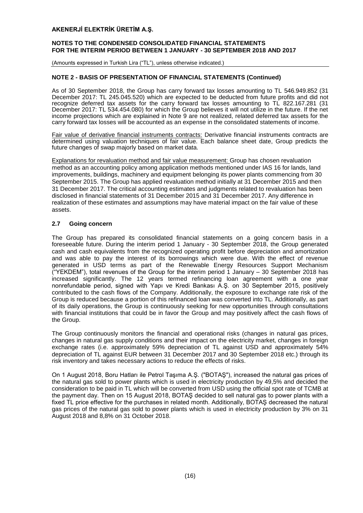#### **NOTES TO THE CONDENSED CONSOLIDATED FINANCIAL STATEMENTS FOR THE INTERIM PERIOD BETWEEN 1 JANUARY - 30 SEPTEMBER 2018 AND 2017**

(Amounts expressed in Turkish Lira ("TL"), unless otherwise indicated.)

## **NOTE 2 - BASIS OF PRESENTATION OF FINANCIAL STATEMENTS (Continued)**

As of 30 September 2018, the Group has carry forward tax losses amounting to TL 546.949.852 (31 December 2017: TL 245.045.520) which are expected to be deducted from future profits and did not recognize deferred tax assets for the carry forward tax losses amounting to TL 822.167.281 (31 December 2017: TL 534.454.080) for which the Group believes it will not utilize in the future. If the net income projections which are explained in Note 9 are not realized, related deferred tax assets for the carry forward tax losses will be accounted as an expense in the consolidated statements of income.

Fair value of derivative financial instruments contracts: Derivative financial instruments contracts are determined using valuation techniques of fair value. Each balance sheet date, Group predicts the future changes of swap majorly based on market data.

Explanations for revaluation method and fair value measurement: Group has chosen revaluation method as an accounting policy among application methods mentioned under IAS 16 for lands, land improvements, buildings, machinery and equipment belonging its power plants commencing from 30 September 2015. The Group has applied revaluation method initially at 31 December 2015 and then 31 December 2017. The critical accounting estimates and judgments related to revaluation has been disclosed in financial statements of 31 December 2015 and 31 December 2017. Any difference in realization of these estimates and assumptions may have material impact on the fair value of these assets.

## **2.7 Going concern**

The Group has prepared its consolidated financial statements on a going concern basis in a foreseeable future. During the interim period 1 January - 30 September 2018, the Group generated cash and cash equivalents from the recognized operating profit before depreciation and amortization and was able to pay the interest of its borrowings which were due. With the effect of revenue generated in USD terms as part of the Renewable Energy Resources Support Mechanism ("YEKDEM"), total revenues of the Group for the interim period 1 January – 30 September 2018 has increased significantly. The 12 years termed refinancing loan agreement with a one year nonrefundable period, signed with Yapı ve Kredi Bankası A.Ş. on 30 September 2015, positively contributed to the cash flows of the Company. Additionally, the exposure to exchange rate risk of the Group is reduced because a portion of this refinanced loan was converted into TL. Additionally, as part of its daily operations, the Group is continuously seeking for new opportunities through consultations with financial institutions that could be in favor the Group and may positively affect the cash flows of the Group.

The Group continuously monitors the financial and operational risks (changes in natural gas prices, changes in natural gas supply conditions and their impact on the electricity market, changes in foreign exchange rates (i.e. approximately 59% depreciation of TL against USD and approximately 54% depreciation of TL against EUR between 31 December 2017 and 30 September 2018 etc.) through its risk inventory and takes necessary actions to reduce the effects of risks.

On 1 August 2018, Boru Hatları ile Petrol Taşıma A.Ş. ("BOTAŞ"), increased the natural gas prices of the natural gas sold to power plants which is used in electricity production by 49,5% and decided the consideration to be paid in TL which will be converted from USD using the official spot rate of TCMB at the payment day. Then on 15 August 2018, BOTAŞ decided to sell natural gas to power plants with a fixed TL price effective for the purchases in related month. Additionally, BOTAŞ decreased the natural gas prices of the natural gas sold to power plants which is used in electricity production by 3% on 31 August 2018 and 8,8% on 31 October 2018.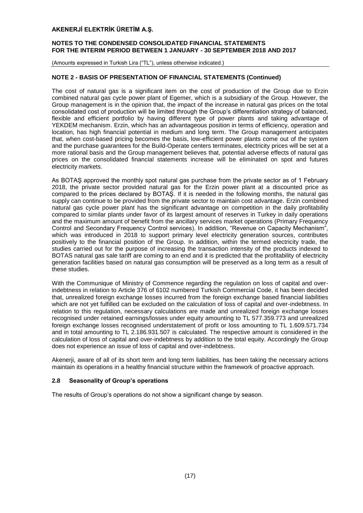#### **NOTES TO THE CONDENSED CONSOLIDATED FINANCIAL STATEMENTS FOR THE INTERIM PERIOD BETWEEN 1 JANUARY - 30 SEPTEMBER 2018 AND 2017**

(Amounts expressed in Turkish Lira ("TL"), unless otherwise indicated.)

## **NOTE 2 - BASIS OF PRESENTATION OF FINANCIAL STATEMENTS (Continued)**

The cost of natural gas is a significant item on the cost of production of the Group due to Erzin combined natural gas cycle power plant of Egemer, which is a subsidiary of the Group. However, the Group management is in the opinion that, the impact of the increase in natural gas prices on the total consolidated cost of production will be limited through the Group's differentiation strategy of balanced, flexible and efficient portfolio by having different type of power plants and taking advantage of YEKDEM mechanism. Erzin, which has an advantageous position in terms of efficiency, operation and location, has high financial potential in medium and long term. The Group management anticipates that, when cost-based pricing becomes the basis, low-efficient power plants come out of the system and the purchase guarantees for the Build-Operate centers terminates, electricity prices will be set at a more rational basis and the Group management believes that, potential adverse effects of natural gas prices on the consolidated financial statements increase will be eliminated on spot and futures electricity markets.

As BOTAŞ approved the monthly spot natural gas purchase from the private sector as of 1 February 2018, the private sector provided natural gas for the Erzin power plant at a discounted price as compared to the prices declared by BOTAŞ. If it is needed in the following months, the natural gas supply can continue to be provided from the private sector to maintain cost advantage. Erzin combined natural gas cycle power plant has the significant advantage on competition in the daily profitability compared to similar plants under favor of its largest amount of reserves in Turkey in daily operations and the maximum amount of benefit from the ancillary services market operations (Primary Frequency Control and Secondary Frequency Control services). In addition, "Revenue on Capacity Mechanism", which was introduced in 2018 to support primary level electricity generation sources, contributes positively to the financial position of the Group. In addition, within the termed electricity trade, the studies carried out for the purpose of increasing the transaction intensity of the products indexed to BOTAS natural gas sale tariff are coming to an end and it is predicted that the profitability of electricity generation facilities based on natural gas consumption will be preserved as a long term as a result of these studies.

With the Communique of Ministry of Commence regarding the regulation on loss of capital and overindebtness in relation to Article 376 of 6102 numbered Turkish Commercial Code, it has been decided that, unrealized foreign exchange losses incurred from the foreign exchange based financial liabilities which are not yet fulfilled can be excluded on the calculation of loss of capital and over-indebtness. In relation to this regulation, necessary calculations are made and unrealized foreign exchange losses recognised under retained earnings/losses under equity amounting to TL 577.359.773 and unrealized foreign exchange losses recognised understatement of profit or loss amounting to TL 1.609.571.734 and in total amounting to TL 2.186.931.507 is calculated. The respective amount is considered in the calculation of loss of capital and over-indebtness by addition to the total equity. Accordingly the Group does not experience an issue of loss of capital and over-indebtness.

Akenerji, aware of all of its short term and long term liabilities, has been taking the necessary actions maintain its operations in a healthy financial structure within the framework of proactive approach.

## **2.8 Seasonality of Group's operations**

The results of Group's operations do not show a significant change by season.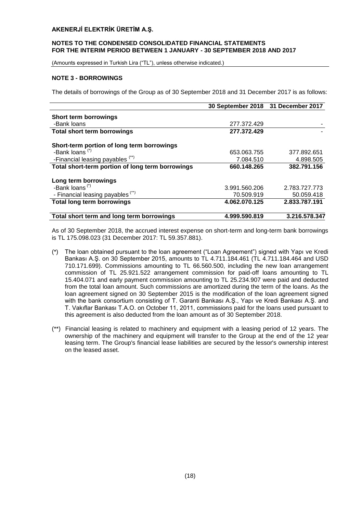#### **NOTES TO THE CONDENSED CONSOLIDATED FINANCIAL STATEMENTS FOR THE INTERIM PERIOD BETWEEN 1 JANUARY - 30 SEPTEMBER 2018 AND 2017**

(Amounts expressed in Turkish Lira ("TL"), unless otherwise indicated.)

## **NOTE 3 - BORROWINGS**

The details of borrowings of the Group as of 30 September 2018 and 31 December 2017 is as follows:

|                                                  | 30 September 2018 31 December 2017 |               |
|--------------------------------------------------|------------------------------------|---------------|
| <b>Short term borrowings</b>                     |                                    |               |
| -Bank loans                                      | 277.372.429                        |               |
| <b>Total short term borrowings</b>               | 277.372.429                        |               |
| Short-term portion of long term borrowings       |                                    |               |
| -Bank loans (*)                                  | 653.063.755                        | 377.892.651   |
| -Financial leasing payables <sup>(**)</sup>      | 7.084.510                          | 4.898.505     |
| Total short-term portion of long term borrowings | 660.148.265                        | 382.791.156   |
| Long term borrowings                             |                                    |               |
| -Bank loans <sup>(*)</sup>                       | 3.991.560.206                      | 2.783.727.773 |
| - Financial leasing payables <sup>(**)</sup>     | 70.509.919                         | 50.059.418    |
| <b>Total long term borrowings</b>                | 4.062.070.125                      | 2.833.787.191 |
| Total short term and long term borrowings        | 4.999.590.819                      | 3.216.578.347 |

As of 30 September 2018, the accrued interest expense on short-term and long-term bank borrowings is TL 175.098.023 (31 December 2017: TL 59.357.881).

- (\*) The loan obtained pursuant to the loan agreement ("Loan Agreement") signed with Yapı ve Kredi Bankası A.Ş. on 30 September 2015, amounts to TL 4.711.184.461 (TL 4.711.184.464 and USD 710.171.699). Commissions amounting to TL 66.560.500, including the new loan arrangement commission of TL 25.921.522 arrangement commission for paid-off loans amounting to TL 15.404.071 and early payment commission amounting to TL 25.234.907 were paid and deducted from the total loan amount. Such commissions are amortized during the term of the loans. As the loan agreement signed on 30 September 2015 is the modification of the loan agreement signed with the bank consortium consisting of T. Garanti Bankası A.Ş., Yapı ve Kredi Bankası A.Ş. and T. Vakıflar Bankası T.A.O. on October 11, 2011, commissions paid for the loans used pursuant to this agreement is also deducted from the loan amount as of 30 September 2018.
- (\*\*) Financial leasing is related to machinery and equipment with a leasing period of 12 years. The ownership of the machinery and equipment will transfer to the Group at the end of the 12 year leasing term. The Group's financial lease liabilities are secured by the lessor's ownership interest on the leased asset.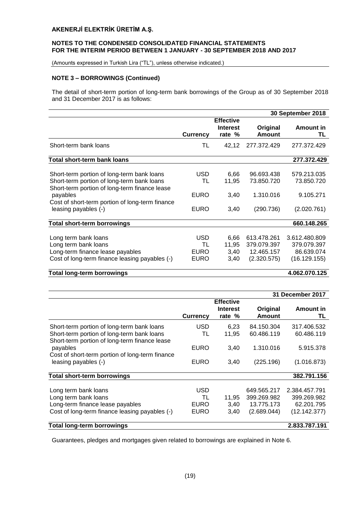## **NOTES TO THE CONDENSED CONSOLIDATED FINANCIAL STATEMENTS FOR THE INTERIM PERIOD BETWEEN 1 JANUARY - 30 SEPTEMBER 2018 AND 2017**

(Amounts expressed in Turkish Lira ("TL"), unless otherwise indicated.)

## **NOTE 3 – BORROWINGS (Continued)**

The detail of short-term portion of long-term bank borrowings of the Group as of 30 September 2018 and 31 December 2017 is as follows:

|                                                                                                                                                                                                                                  |                                                |                                               |                                                         | 30 September 2018                                          |
|----------------------------------------------------------------------------------------------------------------------------------------------------------------------------------------------------------------------------------|------------------------------------------------|-----------------------------------------------|---------------------------------------------------------|------------------------------------------------------------|
|                                                                                                                                                                                                                                  | <b>Currency</b>                                | <b>Effective</b><br><b>Interest</b><br>rate % | Original<br><b>Amount</b>                               | <b>Amount in</b><br>TL                                     |
| Short-term bank loans                                                                                                                                                                                                            | TL                                             | 42,12                                         | 277.372.429                                             | 277.372.429                                                |
| Total short-term bank loans                                                                                                                                                                                                      |                                                |                                               |                                                         | 277.372.429                                                |
| Short-term portion of long-term bank loans<br>Short-term portion of long-term bank loans<br>Short-term portion of long-term finance lease<br>payables<br>Cost of short-term portion of long-term finance<br>leasing payables (-) | <b>USD</b><br>TL<br><b>EURO</b><br><b>EURO</b> | 6,66<br>11,95<br>3,40<br>3,40                 | 96.693.438<br>73.850.720<br>1.310.016<br>(290.736)      | 579.213.035<br>73.850.720<br>9.105.271<br>(2.020.761)      |
| <b>Total short-term borrowings</b>                                                                                                                                                                                               |                                                |                                               |                                                         | 660.148.265                                                |
| Long term bank loans<br>Long term bank loans<br>Long-term finance lease payables<br>Cost of long-term finance leasing payables (-)                                                                                               | <b>USD</b><br>TL<br><b>EURO</b><br>EURO        | 6,66<br>11,95<br>3,40<br>3,40                 | 613.478.261<br>379.079.397<br>12.465.157<br>(2.320.575) | 3.612.480.809<br>379.079.397<br>86.639.074<br>(16.129.155) |

#### **Total long-term borrowings 4.062.070.125**

|                                                                                                                                           |                                                |                                               |                                                         | 31 December 2017                                           |
|-------------------------------------------------------------------------------------------------------------------------------------------|------------------------------------------------|-----------------------------------------------|---------------------------------------------------------|------------------------------------------------------------|
|                                                                                                                                           | <b>Currency</b>                                | <b>Effective</b><br><b>Interest</b><br>rate % | Original<br>Amount                                      | <b>Amount in</b><br>TL                                     |
| Short-term portion of long-term bank loans<br>Short-term portion of long-term bank loans<br>Short-term portion of long-term finance lease | <b>USD</b><br>TL                               | 6,23<br>11,95                                 | 84.150.304<br>60.486.119                                | 317.406.532<br>60.486.119                                  |
| payables<br>Cost of short-term portion of long-term finance<br>leasing payables (-)                                                       | <b>EURO</b>                                    | 3,40                                          | 1.310.016                                               | 5.915.378                                                  |
|                                                                                                                                           | EURO                                           | 3,40                                          | (225.196)                                               | (1.016.873)                                                |
| <b>Total short-term borrowings</b>                                                                                                        |                                                |                                               |                                                         | 382.791.156                                                |
| Long term bank loans<br>Long term bank loans<br>Long-term finance lease payables<br>Cost of long-term finance leasing payables (-)        | <b>USD</b><br>TL<br><b>EURO</b><br><b>EURO</b> | 11,95<br>3,40<br>3,40                         | 649.565.217<br>399.269.982<br>13.775.173<br>(2.689.044) | 2.384.457.791<br>399.269.982<br>62.201.795<br>(12.142.377) |
| <b>Total long-term borrowings</b>                                                                                                         |                                                |                                               |                                                         | 2.833.787.191                                              |

Guarantees, pledges and mortgages given related to borrowings are explained in Note 6.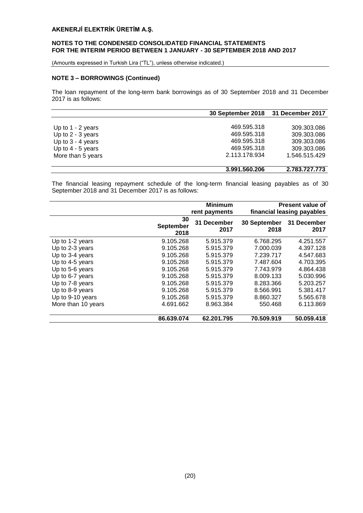## **NOTES TO THE CONDENSED CONSOLIDATED FINANCIAL STATEMENTS FOR THE INTERIM PERIOD BETWEEN 1 JANUARY - 30 SEPTEMBER 2018 AND 2017**

(Amounts expressed in Turkish Lira ("TL"), unless otherwise indicated.)

## **NOTE 3 – BORROWINGS (Continued)**

The loan repayment of the long-term bank borrowings as of 30 September 2018 and 31 December 2017 is as follows:

|                     | 30 September 2018 31 December 2017 |               |
|---------------------|------------------------------------|---------------|
|                     |                                    |               |
| Up to 1 - 2 years   | 469.595.318                        | 309.303.086   |
| Up to $2 - 3$ years | 469.595.318                        | 309.303.086   |
| Up to $3 - 4$ years | 469.595.318                        | 309.303.086   |
| Up to $4 - 5$ years | 469.595.318                        | 309.303.086   |
| More than 5 years   | 2.113.178.934                      | 1.546.515.429 |
|                     |                                    |               |
|                     | 3.991.560.206                      | 2.783.727.773 |

The financial leasing repayment schedule of the long-term financial leasing payables as of 30 September 2018 and 31 December 2017 is as follows:

|                    |                                | <b>Minimum</b><br>rent payments | <b>Present value of</b><br>financial leasing payables |                     |  |
|--------------------|--------------------------------|---------------------------------|-------------------------------------------------------|---------------------|--|
|                    | 30<br><b>September</b><br>2018 | 31 December<br>2017             | 30 September<br>2018                                  | 31 December<br>2017 |  |
| Up to 1-2 years    | 9.105.268                      | 5.915.379                       | 6.768.295                                             | 4.251.557           |  |
| Up to 2-3 years    | 9.105.268                      | 5.915.379                       | 7.000.039                                             | 4.397.128           |  |
| Up to 3-4 years    | 9.105.268                      | 5.915.379                       | 7.239.717                                             | 4.547.683           |  |
| Up to 4-5 years    | 9.105.268                      | 5.915.379                       | 7.487.604                                             | 4.703.395           |  |
| Up to 5-6 years    | 9.105.268                      | 5.915.379                       | 7.743.979                                             | 4.864.438           |  |
| Up to 6-7 years    | 9.105.268                      | 5.915.379                       | 8.009.133                                             | 5.030.996           |  |
| Up to 7-8 years    | 9.105.268                      | 5.915.379                       | 8.283.366                                             | 5.203.257           |  |
| Up to 8-9 years    | 9.105.268                      | 5.915.379                       | 8.566.991                                             | 5.381.417           |  |
| Up to 9-10 years   | 9.105.268                      | 5.915.379                       | 8.860.327                                             | 5.565.678           |  |
| More than 10 years | 4.691.662                      | 8.963.384                       | 550.468                                               | 6.113.869           |  |
|                    | 86.639.074                     | 62.201.795                      | 70.509.919                                            | 50.059.418          |  |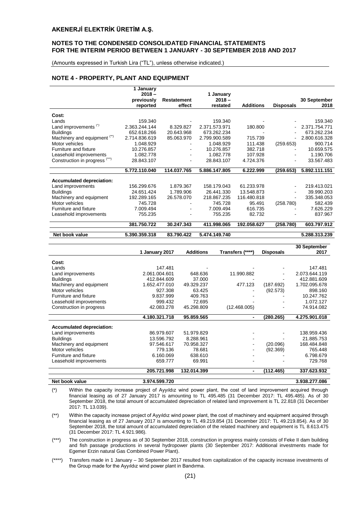#### **NOTES TO THE CONDENSED CONSOLIDATED FINANCIAL STATEMENTS FOR THE INTERIM PERIOD BETWEEN 1 JANUARY - 30 SEPTEMBER 2018 AND 2017**

(Amounts expressed in Turkish Lira ("TL"), unless otherwise indicated.)

## **NOTE 4 - PROPERTY, PLANT AND EQUIPMENT**

|                                           | 1 January<br>$2018 -$ |                          | 1 January     |                  |                  |               |
|-------------------------------------------|-----------------------|--------------------------|---------------|------------------|------------------|---------------|
|                                           | previously            | Restatement              | $2018 -$      |                  |                  | 30 September  |
|                                           | reported              | effect                   | restated      | <b>Additions</b> | <b>Disposals</b> | 2018          |
| Cost:                                     |                       |                          |               |                  |                  |               |
| Lands                                     | 159.340               |                          | 159.340       |                  |                  | 159.340       |
| Land improvements <sup>(*)</sup>          | 2.363.244.144         | 8.329.827                | 2.371.573.971 | 180.800          |                  | 2.371.754.771 |
| <b>Buildings</b>                          | 652.618.266           | 20.643.968               | 673.262.234   |                  |                  | 673.262.234   |
| Machinery and equipment (**)              | 2.714.836.619         | 85.063.970               | 2.799.900.589 | 715.739          | $\blacksquare$   | 2.800.616.328 |
| Motor vehicles                            | 1.048.929             |                          | 1.048.929     | 111.438          | (259.653)        | 900.714       |
| Furniture and fixture                     | 10.276.857            |                          | 10.276.857    | 382.718          |                  | 10.659.575    |
| Leasehold improvements                    | 1.082.778             |                          | 1.082.778     | 107.928          | ٠                | 1.190.706     |
| Construction in progress <sup>(***)</sup> | 28.843.107            | $\overline{\phantom{a}}$ | 28.843.107    | 4.724.376        | $\blacksquare$   | 33.567.483    |
|                                           |                       |                          |               |                  |                  |               |
|                                           | 5.772.110.040         | 114.037.765              | 5.886.147.805 | 6.222.999        | (259.653)        | 5.892.111.151 |
| <b>Accumulated depreciation:</b>          |                       |                          |               |                  |                  |               |
| Land improvements                         | 156.299.676           | 1.879.367                | 158.179.043   | 61.233.978       | $\blacksquare$   | 219.413.021   |
| <b>Buildings</b>                          | 24.651.424            | 1.789.906                | 26.441.330    | 13.548.873       |                  | 39.990.203    |
| Machinery and equipment                   | 192.289.165           | 26.578.070               | 218.867.235   | 116.480.818      | $\blacksquare$   | 335.348.053   |
| Motor vehicles                            | 745.728               |                          | 745.728       | 95.491           | (258.780)        | 582.439       |
| Furniture and fixture                     | 7.009.494             |                          | 7.009.494     | 616.735          |                  | 7.626.229     |
| Leasehold improvements                    | 755.235               |                          | 755.235       | 82.732           |                  | 837.967       |
|                                           | 381.750.722           | 30.247.343               | 411.998.065   | 192.058.627      | (258.780)        | 603.797.912   |
|                                           |                       |                          |               |                  |                  |               |
| Net book value                            | 5.390.359.318         | 83.790.422               | 5.474.149.740 |                  |                  | 5.288.313.239 |

|                                  |                |                  |                  |                  | 30 September  |
|----------------------------------|----------------|------------------|------------------|------------------|---------------|
|                                  | 1 January 2017 | <b>Additions</b> | Transfers (****) | <b>Disposals</b> | 2017          |
|                                  |                |                  |                  |                  |               |
| Cost:                            |                |                  |                  |                  |               |
| Lands                            | 147.481        |                  |                  |                  | 147.481       |
| Land improvements                | 2.061.004.601  | 648.636          | 11.990.882       | $\blacksquare$   | 2.073.644.119 |
| <b>Buildings</b>                 | 412.844.609    | 37.000           |                  |                  | 412.881.609   |
| Machinery and equipment          | 1.652.477.010  | 49.329.237       | 477.123          | (187.692)        | 1.702.095.678 |
| Motor vehicles                   | 927.308        | 63.425           |                  | (92.573)         | 898.160       |
| Furniture and fixture            | 9.837.999      | 409.763          |                  |                  | 10.247.762    |
| Leasehold improvements           | 999.432        | 72.695           |                  |                  | 1.072.127     |
| Construction in progress         | 42.083.278     | 45.298.809       | (12.468.005)     |                  | 74.914.082    |
|                                  | 4.180.321.718  | 95.859.565       |                  | (280.265)        | 4.275.901.018 |
| <b>Accumulated depreciation:</b> |                |                  |                  |                  |               |
| Land improvements                | 86.979.607     | 51.979.829       |                  |                  | 138.959.436   |
| <b>Buildings</b>                 | 13.596.792     | 8.288.961        |                  |                  | 21.885.753    |
| Machinery and equipment          | 97.546.617     | 70.958.327       | -                | (20.096)         | 168.484.848   |
| Motor vehicles                   | 779.136        | 78.681           |                  | (92.369)         | 765.448       |
| Furniture and fixture            | 6.160.069      | 638.610          |                  |                  | 6.798.679     |
| Leasehold improvements           | 659.777        | 69.991           |                  |                  | 729.768       |
|                                  | 205.721.998    | 132.014.399      |                  | (112.465)        | 337.623.932   |
| Net book value                   | 3.974.599.720  |                  |                  |                  | 3.938.277.086 |

<sup>(\*)</sup> Within the capacity increase project of Ayyıldız wind power plant, the cost of land improvement acquired through financial leasing as of 27 January 2017 is amounting to TL 495.485 (31 December 2017: TL 495.485). As of 30 September 2018, the total amount of accumulated depreciation of related land improvement is TL 22.818 (31 December 2017: TL 13.039).

<sup>(\*\*)</sup> Within the capacity increase project of Ayyıldız wind power plant, the cost of machinery and equipment acquired through financial leasing as of 27 January 2017 is amounting to TL 49.219.854 (31 December 2017: TL 49.219.854). As of 30 September 2018, the total amount of accumulated depreciation of the related machinery and equipment is TL 8.613.475 (31 December 2017: TL 4.921.986).

<sup>(\*\*\*)</sup> The construction in progress as of 30 September 2018, construction in progress mainly consists of Feke II dam building and fish passage productions in several hydropower plants (30 September 2017: Additional investments made for Egemer Erzin natural Gas Combined Power Plant).

<sup>(\*\*\*\*)</sup> Transfers made in 1 January – 30 September 2017 resulted from capitalization of the capacity increase investments of the Group made for the Ayyıldız wind power plant in Bandırma.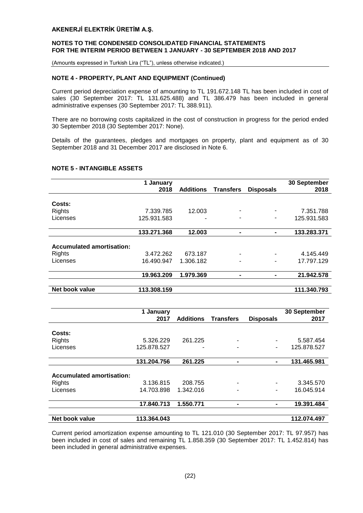#### **NOTES TO THE CONDENSED CONSOLIDATED FINANCIAL STATEMENTS FOR THE INTERIM PERIOD BETWEEN 1 JANUARY - 30 SEPTEMBER 2018 AND 2017**

(Amounts expressed in Turkish Lira ("TL"), unless otherwise indicated.)

## **NOTE 4 - PROPERTY, PLANT AND EQUIPMENT (Continued)**

Current period depreciation expense of amounting to TL 191.672.148 TL has been included in cost of sales (30 September 2017: TL 131.625.488) and TL 386.479 has been included in general administrative expenses (30 September 2017: TL 388.911).

There are no borrowing costs capitalized in the cost of construction in progress for the period ended 30 September 2018 (30 September 2017: None).

Details of the guarantees, pledges and mortgages on property, plant and equipment as of 30 September 2018 and 31 December 2017 are disclosed in Note 6.

|                                  | 1 January   |                  |                  |                  | 30 September |
|----------------------------------|-------------|------------------|------------------|------------------|--------------|
|                                  | 2018        | <b>Additions</b> | <b>Transfers</b> | <b>Disposals</b> | 2018         |
|                                  |             |                  |                  |                  |              |
| Costs:                           |             |                  |                  |                  |              |
| <b>Rights</b>                    | 7.339.785   | 12.003           |                  |                  | 7.351.788    |
| Licenses                         | 125.931.583 |                  |                  | ۰                | 125.931.583  |
|                                  |             |                  |                  |                  |              |
|                                  | 133.271.368 | 12.003           |                  | -                | 133.283.371  |
|                                  |             |                  |                  |                  |              |
| <b>Accumulated amortisation:</b> |             |                  |                  |                  |              |
| <b>Rights</b>                    | 3.472.262   | 673.187          |                  |                  | 4.145.449    |
| Licenses                         | 16.490.947  | 1.306.182        |                  |                  | 17.797.129   |
|                                  |             |                  |                  |                  |              |
|                                  | 19.963.209  | 1.979.369        | $\blacksquare$   | -                | 21.942.578   |
|                                  |             |                  |                  |                  |              |
| Net book value                   | 113.308.159 |                  |                  |                  | 111.340.793  |

#### **NOTE 5 - INTANGIBLE ASSETS**

|                                  | 1 January   |                  |                  |                  | 30 September |
|----------------------------------|-------------|------------------|------------------|------------------|--------------|
|                                  | 2017        | <b>Additions</b> | <b>Transfers</b> | <b>Disposals</b> | 2017         |
|                                  |             |                  |                  |                  |              |
| Costs:                           |             |                  |                  |                  |              |
| <b>Rights</b>                    | 5.326.229   | 261.225          | ٠                |                  | 5.587.454    |
| Licenses                         | 125.878.527 |                  | ٠                | ٠                | 125.878.527  |
|                                  |             |                  |                  |                  |              |
|                                  | 131.204.756 | 261.225          | $\blacksquare$   | $\blacksquare$   | 131.465.981  |
|                                  |             |                  |                  |                  |              |
| <b>Accumulated amortisation:</b> |             |                  |                  |                  |              |
| <b>Rights</b>                    | 3.136.815   | 208.755          | ٠                |                  | 3.345.570    |
| Licenses                         | 14.703.898  | 1.342.016        | $\blacksquare$   | ٠                | 16.045.914   |
|                                  |             |                  |                  |                  |              |
|                                  | 17.840.713  | 1.550.771        | $\blacksquare$   |                  | 19.391.484   |
|                                  |             |                  |                  |                  |              |
| Net book value                   | 113.364.043 |                  |                  |                  | 112.074.497  |

Current period amortization expense amounting to TL 121.010 (30 September 2017: TL 97.957) has been included in cost of sales and remaining TL 1.858.359 (30 September 2017: TL 1.452.814) has been included in general administrative expenses.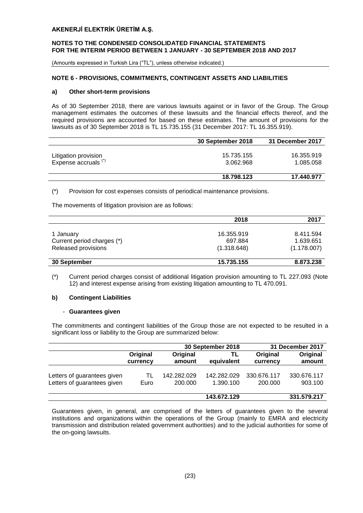#### **NOTES TO THE CONDENSED CONSOLIDATED FINANCIAL STATEMENTS FOR THE INTERIM PERIOD BETWEEN 1 JANUARY - 30 SEPTEMBER 2018 AND 2017**

(Amounts expressed in Turkish Lira ("TL"), unless otherwise indicated.)

## **NOTE 6 - PROVISIONS, COMMITMENTS, CONTINGENT ASSETS AND LIABILITIES**

#### **a) Other short-term provisions**

As of 30 September 2018, there are various lawsuits against or in favor of the Group. The Group management estimates the outcomes of these lawsuits and the financial effects thereof, and the required provisions are accounted for based on these estimates. The amount of provisions for the lawsuits as of 30 September 2018 is TL 15.735.155 (31 December 2017: TL 16.355.919).

|                                              | 30 September 2018       | 31 December 2017        |
|----------------------------------------------|-------------------------|-------------------------|
| Litigation provision<br>Expense accruals (*) | 15.735.155<br>3.062.968 | 16.355.919<br>1.085.058 |
|                                              | 18.798.123              | 17.440.977              |

(\*) Provision for cost expenses consists of periodical maintenance provisions.

The movements of litigation provision are as follows:

|                                                                | 2018                                 | 2017                                  |
|----------------------------------------------------------------|--------------------------------------|---------------------------------------|
| 1 January<br>Current period charges (*)<br>Released provisions | 16.355.919<br>697.884<br>(1.318.648) | 8.411.594<br>1.639.651<br>(1.178.007) |
| 30 September                                                   | 15.735.155                           | 8.873.238                             |

(\*) Current period charges consist of additional litigation provision amounting to TL 227.093 (Note 12) and interest expense arising from existing litigation amounting to TL 470.091.

#### **b) Contingent Liabilities**

#### - **Guarantees given**

The commitments and contingent liabilities of the Group those are not expected to be resulted in a significant loss or liability to the Group are summarized below:

|                             |                      | 30 September 2018  |                  | 31 December 2017     |                    |
|-----------------------------|----------------------|--------------------|------------------|----------------------|--------------------|
|                             | Original<br>currency | Original<br>amount | TL<br>equivalent | Original<br>currency | Original<br>amount |
| Letters of guarantees given | TL                   | 142.282.029        | 142.282.029      | 330.676.117          | 330.676.117        |
| Letters of guarantees given | Euro                 | 200,000            | 1.390.100        | 200.000              | 903.100            |
|                             |                      |                    | 143.672.129      |                      | 331.579.217        |

Guarantees given, in general, are comprised of the letters of guarantees given to the several institutions and organizations within the operations of the Group (mainly to EMRA and electricity transmission and distribution related government authorities) and to the judicial authorities for some of the on-going lawsuits.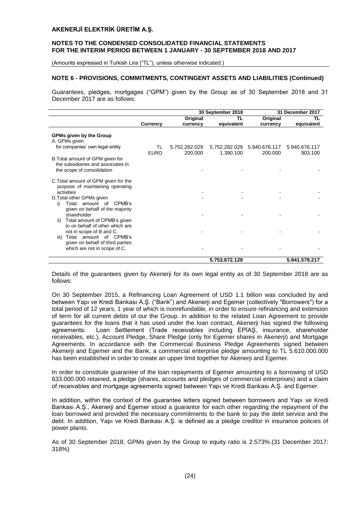#### **NOTES TO THE CONDENSED CONSOLIDATED FINANCIAL STATEMENTS FOR THE INTERIM PERIOD BETWEEN 1 JANUARY - 30 SEPTEMBER 2018 AND 2017**

(Amounts expressed in Turkish Lira ("TL"), unless otherwise indicated.)

## **NOTE 6 - PROVISIONS, COMMITMENTS, CONTINGENT ASSETS AND LIABILITIES (Continued)**

Guarantees, pledges, mortgages ("GPM") given by the Group as of 30 September 2018 and 31 December 2017 are as follows:

|                                                                                                      |             |               | 30 September 2018 |               | 31 December 2017 |  |  |
|------------------------------------------------------------------------------------------------------|-------------|---------------|-------------------|---------------|------------------|--|--|
|                                                                                                      |             | Original      | TL                | Original      | <b>TL</b>        |  |  |
|                                                                                                      | Currency    | currency      | equivalent        | currency      | equivalent       |  |  |
| <b>GPMs given by the Group</b><br>A. GPMs given                                                      |             |               |                   |               |                  |  |  |
| for companies' own legal entity                                                                      | TL          | 5.752.282.029 | 5.752.282.029     | 5.940.676.117 | 5.940.676.117    |  |  |
|                                                                                                      | <b>EURO</b> | 200.000       | 1.390.100         | 200.000       | 903.100          |  |  |
| B. Total amount of GPM given for<br>the subsidiaries and associates in<br>the scope of consolidation |             |               |                   |               |                  |  |  |
| C. Total amount of GPM given for the<br>purpose of maintaining operating<br>activities               |             |               |                   |               |                  |  |  |
|                                                                                                      |             |               |                   |               |                  |  |  |
| D. Total other GPMs given<br>amount of<br>Total<br>CPMB's<br>i)<br>given on behalf of the majority   |             |               |                   |               |                  |  |  |
| shareholder<br>Total amount of CPMB's given<br>ii)<br>to on behalf of other which are                |             |               |                   |               |                  |  |  |
| not in scope of B and C.<br>Total amount of CPMB's<br>iii)<br>given on behalf of third parties       |             |               |                   |               |                  |  |  |
| which are not in scope of C.                                                                         |             |               |                   |               |                  |  |  |
|                                                                                                      |             |               | 5.753.672.129     |               | 5.941.579.217    |  |  |

Details of the guarantees given by Akenerji for its own legal entity as of 30 September 2018 are as follows:

On 30 September 2015, a Refinancing Loan Agreement of USD 1.1 billion was concluded by and between Yapı ve Kredi Bankası A.Ş. ("Bank") and Akenerji and Egemer (collectively "Borrowers") for a total period of 12 years, 1 year of which is nonrefundable, in order to ensure refinancing and extension of term for all current debts of our the Group. In addition to the related Loan Agreement to provide guarantees for the loans that it has used under the loan contract, Akenerji has signed the following agreements: Loan Settlement (Trade receivables including EPİAŞ, insurance, shareholder receivables, etc.), Account Pledge, Share Pledge (only for Egemer shares in Akenerji) and Mortgage Agreements. In accordance with the Commercial Business Pledge Agreements signed between Akenerji and Egemer and the Bank, a commercial enterprise pledge amounting to TL 5.610.000.000 has been established in order to create an upper limit together for Akenerji and Egemer.

In order to constitute guarantee of the loan repayments of Egemer amounting to a borrowing of USD 633.000.000 retained, a pledge (shares, accounts and pledges of commercial enterprises) and a claim of receivables and mortgage agreements signed between Yapı ve Kredi Bankası A.Ş. and Egemer.

In addition, within the context of the guarantee letters signed between borrowers and Yapı ve Kredi Bankası A.Ş., Akenerji and Egemer stood a guarantor for each other regarding the repayment of the loan borrowed and provided the necessary commitments to the bank to pay the debt service and the debt. In addition, Yapı ve Kredi Bankası A.Ş. is defined as a pledge creditor in insurance policies of power plants.

As of 30 September 2018, GPMs given by the Group to equity ratio is 2.573%.(31 December 2017: 318%)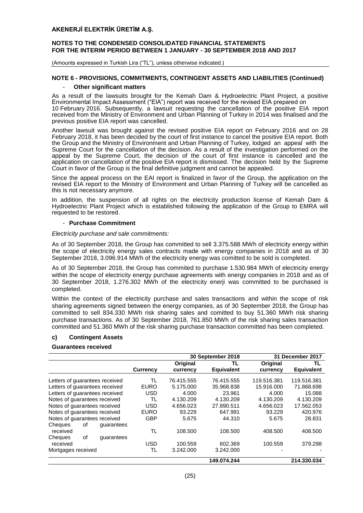#### **NOTES TO THE CONDENSED CONSOLIDATED FINANCIAL STATEMENTS FOR THE INTERIM PERIOD BETWEEN 1 JANUARY - 30 SEPTEMBER 2018 AND 2017**

(Amounts expressed in Turkish Lira ("TL"), unless otherwise indicated.)

## **NOTE 6 - PROVISIONS, COMMITMENTS, CONTINGENT ASSETS AND LIABILITIES (Continued)**

#### **Other significant matters**

As a result of the lawsuits brought for the Kemah Dam & Hydroelectric Plant Project, a positive Environmental Impact Assessment ("EIA") report was received for the revised EIA prepared on 10 February 2016. Subsequently, a lawsuit requesting the cancellation of the positive EIA report received from the Ministry of Environment and Urban Planning of Turkey in 2014 was finalised and the

previous positive EIA report was cancelled.

Another lawsuit was brought against the revised positive EIA report on February 2016 and on 28 February 2018, it has been decided by the court of first instance to cancel the positive EIA report. Both the Group and the Ministry of Environment and Urban Planning of Turkey, lodged an appeal with the Supreme Court for the cancellation of the decision. As a result of the investigation performed on the appeal by the Supreme Court, the decision of the court of first instance is cancelled and the application on cancellation of the positive EIA report is dismissed. The decision held by the Supreme Court in favor of the Group is the final definitive judgment and cannot be appealed.

Since the appeal process on the EAI report is finalized in favor of the Group, the application on the revised EIA report to the Ministry of Environment and Urban Planning of Turkey will be cancelled as this is not necessary anymore.

In addition, the suspension of all rights on the electricity production license of Kemah Dam & Hydroelectric Plant Project which is established following the application of the Group to EMRA will requested to be restored.

#### - **Purchase Commitment**

#### *Electricity purchase and sale commitments:*

As of 30 September 2018, the Group has committed to sell 3.375.588 MWh of electricity energy within the scope of electricity energy sales contracts made with energy companies in 2018 and as of 30 September 2018, 3.096.914 MWh of the electricity energy was comitted to be sold is completed.

As of 30 September 2018, the Group has commited to purchase 1.530.984 MWh of electricity energy within the scope of electricity energy purchase agreements with energy companies in 2018 and as of 30 September 2018, 1.276.302 MWh of the electricity enerji was committed to be purchased is completed.

Within the context of the electricity purchase and sales transactions and within the scope of risk sharing agreements signed between the energy companies, as of 30 September 2018, the Group has committed to sell 834.330 MWh risk sharing sales and comitted to buy 51.360 MWh risk sharing purchase transactions. As of 30 September 2018, 761.850 MWh of the risk sharing sales transaction committed and 51.360 MWh of the risk sharing purchase transaction committed has been completed.

#### **c) Contingent Assets**

#### **Guarantees received**

|                                |                 |            | 30 September 2018 |             | 31 December 2017  |
|--------------------------------|-----------------|------------|-------------------|-------------|-------------------|
|                                |                 | Original   | TL                | Original    | TL                |
|                                | <b>Currency</b> | currency   | <b>Equivalent</b> | currency    | <b>Equivalent</b> |
| Letters of quarantees received | TL              | 76.415.555 | 76.415.555        | 119.516.381 | 119.516.381       |
| Letters of quarantees received | <b>EURO</b>     | 5.175.000  | 35.968.838        | 15.916.000  | 71.868.698        |
| Letters of guarantees received | USD             | 4.000      | 23.961            | 4.000       | 15.088            |
| Notes of guarantees received   | TL              | 4.130.209  | 4.130.209         | 4.130.209   | 4.130.209         |
| Notes of guarantees received   | USD             | 4.656.023  | 27.890.511        | 4.656.023   | 17.562.053        |
| Notes of guarantees received   | <b>EURO</b>     | 93.229     | 647.991           | 93.229      | 420.976           |
| Notes of quarantees received   | <b>GBP</b>      | 5.675      | 44.310            | 5.675       | 28.831            |
| Cheques<br>of<br>quarantees    |                 |            |                   |             |                   |
| received                       | TL              | 108.500    | 108.500           | 408.500     | 408.500           |
| Cheques<br>οf<br>quarantees    |                 |            |                   |             |                   |
| received                       | USD             | 100.559    | 602.369           | 100.559     | 379.298           |
| Mortgages received             | TL              | 3.242.000  | 3.242.000         |             |                   |
|                                |                 |            | 149.074.244       |             | 214.330.034       |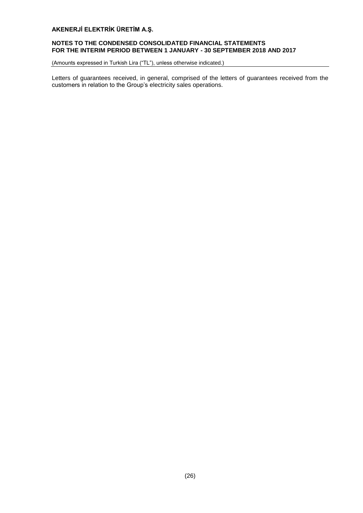## **NOTES TO THE CONDENSED CONSOLIDATED FINANCIAL STATEMENTS FOR THE INTERIM PERIOD BETWEEN 1 JANUARY - 30 SEPTEMBER 2018 AND 2017**

(Amounts expressed in Turkish Lira ("TL"), unless otherwise indicated.)

Letters of guarantees received, in general, comprised of the letters of guarantees received from the customers in relation to the Group's electricity sales operations.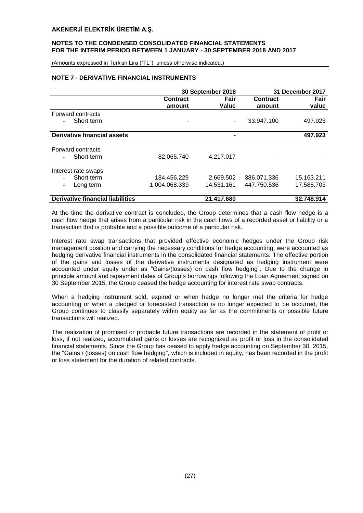#### **NOTES TO THE CONDENSED CONSOLIDATED FINANCIAL STATEMENTS FOR THE INTERIM PERIOD BETWEEN 1 JANUARY - 30 SEPTEMBER 2018 AND 2017**

(Amounts expressed in Turkish Lira ("TL"), unless otherwise indicated.)

## **NOTE 7 - DERIVATIVE FINANCIAL INSTRUMENTS**

|                                         |               | 30 September 2018 | 31 December 2017 |            |
|-----------------------------------------|---------------|-------------------|------------------|------------|
|                                         | Contract      | Fair              | <b>Contract</b>  | Fair       |
|                                         | amount        | Value             | amount           | value      |
| Forward contracts                       |               |                   |                  |            |
| Short term                              | ۰             | ٠                 | 33.947.100       | 497.923    |
|                                         |               |                   |                  |            |
| <b>Derivative financial assets</b>      |               |                   |                  | 497.923    |
|                                         |               |                   |                  |            |
| Forward contracts                       |               |                   |                  |            |
| Short term                              | 82.065.740    | 4.217.017         |                  |            |
|                                         |               |                   |                  |            |
| Interest rate swaps                     |               |                   |                  |            |
| Short term                              | 184.456.229   | 2.669.502         | 386.071.336      | 15.163.211 |
| Long term<br>$\overline{\phantom{a}}$   | 1.004.068.339 | 14.531.161        | 447.750.536      | 17.585.703 |
| <b>Derivative financial liabilities</b> |               | 21.417.680        |                  | 32.748.914 |
|                                         |               |                   |                  |            |

At the time the derivative contract is concluded, the Group determines that a cash flow hedge is a cash flow hedge that arises from a particular risk in the cash flows of a recorded asset or liability or a transaction that is probable and a possible outcome of a particular risk.

Interest rate swap transactions that provided effective economic hedges under the Group risk management position and carrying the necessary conditions for hedge accounting, were accounted as hedging derivative financial instruments in the consolidated financial statements. The effective portion of the gains and losses of the derivative instruments designated as hedging instrument were accounted under equity under as "Gains/(losses) on cash flow hedging". Due to the change in principle amount and repayment dates of Group's borrowings following the Loan Agreement signed on 30 September 2015, the Group ceased the hedge accounting for interest rate swap contracts.

When a hedging instrument sold, expired or when hedge no longer met the criteria for hedge accounting or when a pledged or forecasted transaction is no longer expected to be occurred, the Group continues to classify separately within equity as far as the commitments or possible future transactions will realized.

The realization of promised or probable future transactions are recorded in the statement of profit or loss, if not realized, accumulated gains or losses are recognized as profit or loss in the consolidated financial statements. Since the Group has ceased to apply hedge accounting on September 30, 2015, the "Gains / (losses) on cash flow hedging", which is included in equity, has been recorded in the profit or loss statement for the duration of related contracts.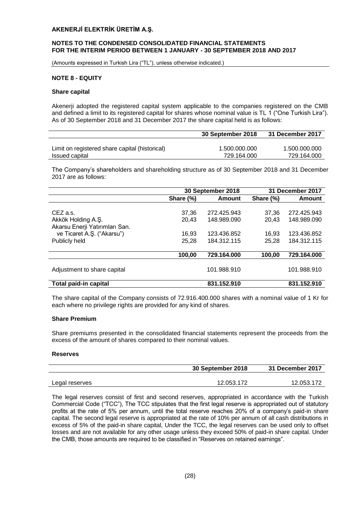#### **NOTES TO THE CONDENSED CONSOLIDATED FINANCIAL STATEMENTS FOR THE INTERIM PERIOD BETWEEN 1 JANUARY - 30 SEPTEMBER 2018 AND 2017**

(Amounts expressed in Turkish Lira ("TL"), unless otherwise indicated.)

## **NOTE 8 - EQUITY**

#### **Share capital**

Akenerji adopted the registered capital system applicable to the companies registered on the CMB and defined a limit to its registered capital for shares whose nominal value is TL 1 ("One Turkish Lira"). As of 30 September 2018 and 31 December 2017 the share capital held is as follows:

|                                                | 30 September 2018 | <b>31 December 2017</b> |
|------------------------------------------------|-------------------|-------------------------|
|                                                |                   |                         |
| Limit on registered share capital (historical) | 1.500.000.000     | 1.500.000.000           |
| Issued capital                                 | 729.164.000       | 729.164.000             |

The Company's shareholders and shareholding structure as of 30 September 2018 and 31 December 2017 are as follows:

|                                                                  | 30 September 2018 |                            | 31 December 2017 |                            |
|------------------------------------------------------------------|-------------------|----------------------------|------------------|----------------------------|
|                                                                  | Share (%)         | <b>Amount</b>              | Share (%)        | Amount                     |
| CEZ a.s.<br>Akkök Holding A.S.<br>Akarsu Enerji Yatırımları San. | 37,36<br>20,43    | 272.425.943<br>148.989.090 | 37,36<br>20.43   | 272.425.943<br>148.989.090 |
| ve Ticaret A.Ş. ("Akarsu")<br>Publicly held                      | 16,93<br>25.28    | 123.436.852<br>184.312.115 | 16,93<br>25.28   | 123.436.852<br>184.312.115 |
|                                                                  | 100,00            | 729.164.000                | 100.00           | 729.164.000                |
| Adjustment to share capital                                      |                   | 101.988.910                |                  | 101.988.910                |
| <b>Total paid-in capital</b>                                     |                   | 831.152.910                |                  | 831.152.910                |

The share capital of the Company consists of 72.916.400.000 shares with a nominal value of 1 Kr for each where no privilege rights are provided for any kind of shares.

#### **Share Premium**

Share premiums presented in the consolidated financial statements represent the proceeds from the excess of the amount of shares compared to their nominal values.

#### **Reserves**

|                | 30 September 2018 | 31 December 2017 |  |
|----------------|-------------------|------------------|--|
| Legal reserves | 12.053.172        | 12.053.172       |  |

The legal reserves consist of first and second reserves, appropriated in accordance with the Turkish Commercial Code ("TCC"), The TCC stipulates that the first legal reserve is appropriated out of statutory profits at the rate of 5% per annum, until the total reserve reaches 20% of a company's paid-in share capital. The second legal reserve is appropriated at the rate of 10% per annum of all cash distributions in excess of 5% of the paid-in share capital, Under the TCC, the legal reserves can be used only to offset losses and are not available for any other usage unless they exceed 50% of paid-in share capital. Under the CMB, those amounts are required to be classified in "Reserves on retained earnings".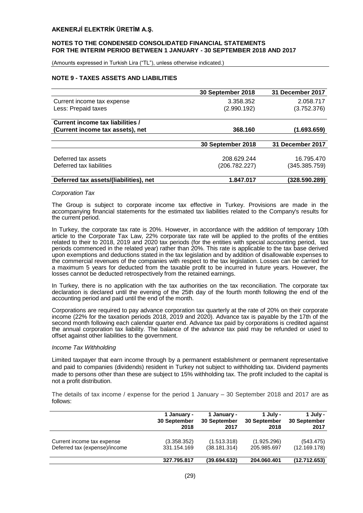#### **NOTES TO THE CONDENSED CONSOLIDATED FINANCIAL STATEMENTS FOR THE INTERIM PERIOD BETWEEN 1 JANUARY - 30 SEPTEMBER 2018 AND 2017**

(Amounts expressed in Turkish Lira ("TL"), unless otherwise indicated.)

## **NOTE 9 - TAXES ASSETS AND LIABILITIES**

|                                        | 30 September 2018 | 31 December 2017 |
|----------------------------------------|-------------------|------------------|
| Current income tax expense             | 3.358.352         | 2.058.717        |
| Less: Prepaid taxes                    | (2.990.192)       | (3.752.376)      |
| Current income tax liabilities /       |                   |                  |
| (Current income tax assets), net       | 368.160           | (1.693.659)      |
|                                        |                   |                  |
|                                        | 30 September 2018 | 31 December 2017 |
|                                        |                   |                  |
| Deferred tax assets                    | 208.629.244       | 16.795.470       |
| Deferred tax liabilities               | (206.782.227)     | (345.385.759)    |
|                                        |                   |                  |
| Deferred tax assets/(liabilities), net | 1.847.017         | (328.590.289)    |

#### *Corporation Tax*

The Group is subject to corporate income tax effective in Turkey. Provisions are made in the accompanying financial statements for the estimated tax liabilities related to the Company's results for the current period.

In Turkey, the corporate tax rate is 20%. However, in accordance with the addition of temporary 10th article to the Corporate Tax Law, 22% corporate tax rate will be applied to the profits of the entities related to their to 2018, 2019 and 2020 tax periods (for the entities with special accounting period, tax periods commenced in the related year) rather than 20%. This rate is applicable to the tax base derived upon exemptions and deductions stated in the tax legislation and by addition of disallowable expenses to the commercial revenues of the companies with respect to the tax legislation. Losses can be carried for a maximum 5 years for deducted from the taxable profit to be incurred in future years. However, the losses cannot be deducted retrospectively from the retained earnings.

In Turkey, there is no application with the tax authorities on the tax reconciliation. The corporate tax declaration is declared until the evening of the 25th day of the fourth month following the end of the accounting period and paid until the end of the month.

Corporations are required to pay advance corporation tax quarterly at the rate of 20% on their corporate income (22% for the taxation periods 2018, 2019 and 2020). Advance tax is payable by the 17th of the second month following each calendar quarter end. Advance tax paid by corporations is credited against the annual corporation tax liability. The balance of the advance tax paid may be refunded or used to offset against other liabilities to the government.

#### *Income Tax Withholding*

Limited taxpayer that earn income through by a permanent establishment or permanent representative and paid to companies (dividends) resident in Turkey not subject to withholding tax. Dividend payments made to persons other than these are subject to 15% withholding tax. The profit included to the capital is not a profit distribution.

The details of tax income / expense for the period 1 January – 30 September 2018 and 2017 are as follows:

|                               | 1 January -  | 1 January -  | 1 July -            | 1 July -            |
|-------------------------------|--------------|--------------|---------------------|---------------------|
|                               | 30 September | 30 September | <b>30 September</b> | <b>30 September</b> |
|                               | 2018         | 2017         | 2018                | 2017                |
| Current income tax expense    | (3.358.352)  | (1.513.318)  | (1.925.296)         | (543.475)           |
| Deferred tax (expense)/income | 331.154.169  | (38.181.314) | 205.985.697         | (12.169.178)        |
|                               | 327.795.817  | (39.694.632) | 204.060.401         | (12.712.653)        |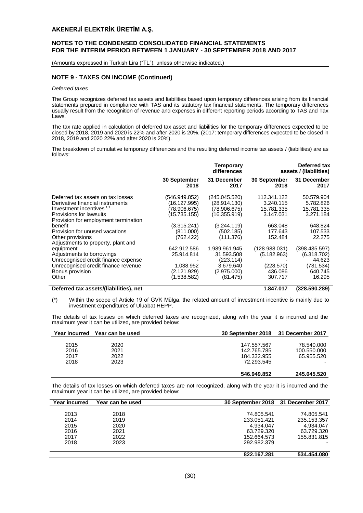## **NOTES TO THE CONDENSED CONSOLIDATED FINANCIAL STATEMENTS FOR THE INTERIM PERIOD BETWEEN 1 JANUARY - 30 SEPTEMBER 2018 AND 2017**

(Amounts expressed in Turkish Lira ("TL"), unless otherwise indicated.)

#### **NOTE 9 - TAXES ON INCOME (Continued)**

#### *Deferred taxes*

The Group recognizes deferred tax assets and liabilities based upon temporary differences arising from its financial statements prepared in compliance with TAS and its statutory tax financial statements. The temporary differences usually result from the recognition of revenue and expenses in different reporting periods according to TAS and Tax Laws.

The tax rate applied in calculation of deferred tax asset and liabilities for the temporary differences expected to be closed by 2018, 2019 and 2020 is 22% and after 2020 is 20%. (2017: temporary differences expected to be closed in 2018, 2019 and 2020 22% and after 2020 is 20%).

The breakdown of cumulative temporary differences and the resulting deferred income tax assets / (liabilities) are as follows:

|                                                                                                                                                                                                                                                                                                                                                                                                                                 |                                                                                                                                                                                | Temporary<br>differences                                                                                                                                                                   |                                                                                                                                                         | Deferred tax<br>assets / (liabilities)                                                                                                                         |
|---------------------------------------------------------------------------------------------------------------------------------------------------------------------------------------------------------------------------------------------------------------------------------------------------------------------------------------------------------------------------------------------------------------------------------|--------------------------------------------------------------------------------------------------------------------------------------------------------------------------------|--------------------------------------------------------------------------------------------------------------------------------------------------------------------------------------------|---------------------------------------------------------------------------------------------------------------------------------------------------------|----------------------------------------------------------------------------------------------------------------------------------------------------------------|
|                                                                                                                                                                                                                                                                                                                                                                                                                                 | 30 September<br>2018                                                                                                                                                           | 31 December<br>2017                                                                                                                                                                        | 30 September<br>2018                                                                                                                                    | 31 December<br>2017                                                                                                                                            |
| Deferred tax assets on tax losses<br>Derivative financial instruments<br>Investment incentives ()<br>Provisions for lawsuits<br>Provision for employment termination<br>benefit<br>Provision for unused vacations<br>Other provisions<br>Adjustments to property, plant and<br>equipment<br>Adjustments to borrowings<br>Unrecognised credit finance expense<br>Unrecognised credit finance revenue<br>Bonus provision<br>Other | (546.949.852)<br>(16.127.995)<br>(78.906.675)<br>(15.735.155)<br>(3.315.241)<br>(811.000)<br>(762.422)<br>642.912.586<br>25.914.814<br>1.038.952<br>(2.121.929)<br>(1.538.582) | (245.045.520)<br>(28.914.130)<br>(78.906.675)<br>(16.355.919)<br>(3.244.119)<br>(502.185)<br>(111.376)<br>1.989.961.945<br>31.593.508<br>(223.114)<br>3.679.640<br>(2.975.000)<br>(81.475) | 112.341.122<br>3.240.115<br>15.781.335<br>3.147.031<br>663.048<br>177.643<br>152.484<br>(128.988.031)<br>(5.182.963)<br>(228.570)<br>436.086<br>307.717 | 50.579.904<br>5.782.826<br>15.781.335<br>3.271.184<br>648.824<br>107.533<br>22,275<br>(398.435.597)<br>(6.318.702)<br>44.623<br>(731.534)<br>640.745<br>16.295 |
| Deferred tax assets/(liabilities), net                                                                                                                                                                                                                                                                                                                                                                                          |                                                                                                                                                                                |                                                                                                                                                                                            | 1.847.017                                                                                                                                               | (328.590.289)                                                                                                                                                  |

(\*) Within the scope of Article 19 of GVK Mülga, the related amount of investment incentive is mainly due to investment expenditures of Uluabat HEPP.

The details of tax losses on which deferred taxes are recognized, along with the year it is incurred and the maximum year it can be utilized, are provided below:

| Year incurred | Year can be used | 30 September 2018 31 December 2017 |             |
|---------------|------------------|------------------------------------|-------------|
|               |                  |                                    |             |
| 2015          | 2020             | 147.557.567                        | 78.540.000  |
| 2016          | 2021             | 142.765.785                        | 100.550.000 |
| 2017          | 2022             | 184.332.955                        | 65.955.520  |
| 2018          | 2023             | 72.293.545                         |             |
|               |                  | 546.949.852                        | 245.045.520 |

The details of tax losses on which deferred taxes are not recognized, along with the year it is incurred and the maximum year it can be utilized, are provided below:

| Year incurred | Year can be used | 30 September 2018 31 December 2017 |             |
|---------------|------------------|------------------------------------|-------------|
|               |                  |                                    |             |
| 2013          | 2018             | 74.805.541                         | 74.805.541  |
| 2014          | 2019             | 233.051.421                        | 235.153.357 |
| 2015          | 2020             | 4.934.047                          | 4.934.047   |
| 2016          | 2021             | 63.729.320                         | 63.729.320  |
| 2017          | 2022             | 152.664.573                        | 155.831.815 |
| 2018          | 2023             | 292.982.379                        |             |
|               |                  | 822.167.281                        | 534.454.080 |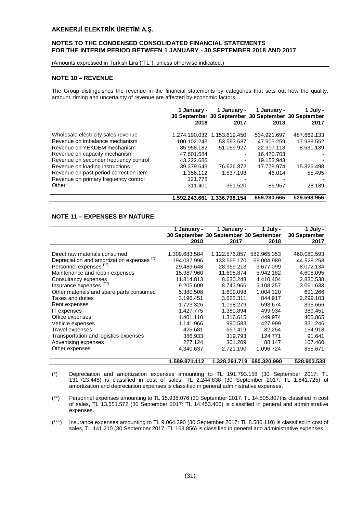#### **NOTES TO THE CONDENSED CONSOLIDATED FINANCIAL STATEMENTS FOR THE INTERIM PERIOD BETWEEN 1 JANUARY - 30 SEPTEMBER 2018 AND 2017**

(Amounts expressed in Turkish Lira ("TL"), unless otherwise indicated.)

#### **NOTE 10 – REVENUE**

The Group distinguishes the revenue in the financial statements by categories that sets out how the quality, amount, timing and uncertainty of revenue are affected by economic factors.

|                                                                                                                                                                                                                                                                                                              | 1 January -<br>2018                                                                                    | 1 January -<br>2017                                                                                     | 1 January -<br>30 September 30 September 30 September 30 September<br>2018                            | $1$ July -<br>2017                                                       |
|--------------------------------------------------------------------------------------------------------------------------------------------------------------------------------------------------------------------------------------------------------------------------------------------------------------|--------------------------------------------------------------------------------------------------------|---------------------------------------------------------------------------------------------------------|-------------------------------------------------------------------------------------------------------|--------------------------------------------------------------------------|
| Wholesale electricity sales revenue<br>Revenue on imbalance mechanism<br>Revenue on YEKDEM mechanism<br>Revenue on capacity mechanism<br>Revenue on seconder frequency control<br>Revenue on loading instructions<br>Revenue on past period correction item<br>Revenue on primary frequency control<br>Other | 100.102.243<br>85.958.182<br>47.601.584<br>43.222.686<br>39.379.643<br>1.356.112<br>121.778<br>311.401 | 1.274.190.032 1.153.619.450<br>53.593.687<br>51.059.927<br>۰<br>٠<br>76.626.372<br>1.537.198<br>361.520 | 534.921.697<br>47.905.259<br>22.917.118<br>16.470.703<br>19.153.943<br>17.778.974<br>46.014<br>86.957 | 487.669.133<br>17.988.552<br>8.531.139<br>15.326.498<br>55.495<br>28.139 |
|                                                                                                                                                                                                                                                                                                              | 1.592.243.661                                                                                          | 1.336.798.154                                                                                           | 659.280.665                                                                                           | 529.598.956                                                              |

## **NOTE 11 – EXPENSES BY NATURE**

|                                            | 1 January -   | 1 January -                                    | 1 July -    | 1 July -             |
|--------------------------------------------|---------------|------------------------------------------------|-------------|----------------------|
|                                            | 2018          | 30 September 30 September 30 September<br>2017 | 2018        | 30 September<br>2017 |
|                                            |               |                                                |             |                      |
| Direct raw materials consumed              | 1.309.683.584 | 1.122.576.857                                  | 582.965.353 | 460.080.593          |
| Depreciation and amortization expenses (1) | 194.037.996   | 133.565.170                                    | 69.004.989  | 44.528.258           |
| Personnel expenses <sup>(**)</sup>         | 29.489.648    | 28.959.213                                     | 9.677.099   | 8.072.134            |
| Maintenance and repair expenses            | 15.987.960    | 11.698.874                                     | 5.942.182   | 4.608.095            |
| Consultancy expenses                       | 11.814.813    | 8.630.248                                      | 4.410.404   | 2.830.538            |
| Insurance expenses <sup>(***)</sup>        | 9.205.600     | 8.743.966                                      | 3.108.257   | 3.061.633            |
| Other materials and spare parts consumed   | 5.380.508     | 1.609.098                                      | 1.004.320   | 691.266              |
| Taxes and duties                           | 3.196.451     | 3.622.311                                      | 844.917     | 2.299.103            |
| Rent expenses                              | 1.723.326     | 1.198.279                                      | 593.674     | 395.666              |
| <b>IT</b> expenses                         | 1.427.775     | 1.380.894                                      | 499.934     | 389.451              |
| Office expenses                            | 1.401.110     | 1.316.615                                      | 449.974     | 405.865              |
| Vehicle expenses                           | 1.141.966     | 990.583                                        | 427.999     | 331.246              |
| Travel expenses                            | 425.681       | 657.419                                        | 82.254      | 154.918              |
| Transportation and logistics expenses      | 386.933       | 319.793                                        | 124.771     | 91.641               |
| Advertising expenses                       | 227.124       | 301.209                                        | 88.147      | 107.460              |
| Other expenses                             | 4.340.637     | 2.721.190                                      | 1.096.724   | 855.671              |
|                                            | 1.589.871.112 | 1.328.291.719                                  | 680.320.998 | 528.903.538          |

- (\*) Depreciation and amortization expenses amounting to TL 191.793.158 (30 September 2017: TL 131.723.445) is classified in cost of sales, TL 2.244.838 (30 September 2017: TL 1.841.725) of amortization and depreciation expenses is classified in general administrative expenses.
- (\*\*) Personnel expenses amounting to TL 15.938.076 (30 September 2017: TL 14.505.807) is classified in cost of sales, TL 13.551.572 (30 September 2017: TL 14.453.406) is classified in general and administrative expenses.
- (\*\*\*) Insurance expenses amounting to TL 9.064.390 (30 September 2017: TL 8.580.110) is classified in cost of sales, TL 141.210 (30 September 2017: TL 163.856) is classified in general and administrative expenses.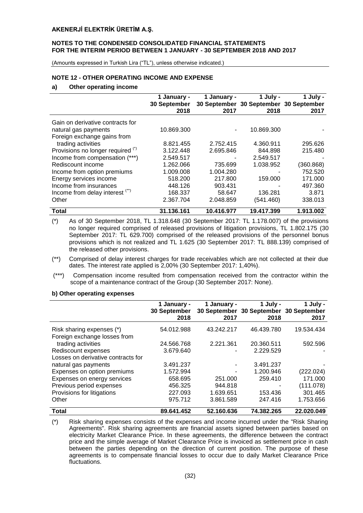#### **NOTES TO THE CONDENSED CONSOLIDATED FINANCIAL STATEMENTS FOR THE INTERIM PERIOD BETWEEN 1 JANUARY - 30 SEPTEMBER 2018 AND 2017**

(Amounts expressed in Turkish Lira ("TL"), unless otherwise indicated.)

#### **NOTE 12 - OTHER OPERATING INCOME AND EXPENSE**

#### **a) Other operating income**

**b) Other operating expenses**

|                                           | 1 January -<br>30 September<br>2018 | 1 January -<br>2017 | 1 July -<br>30 September 30 September 30 September<br>2018 | 1 July -<br>2017 |
|-------------------------------------------|-------------------------------------|---------------------|------------------------------------------------------------|------------------|
| Gain on derivative contracts for          |                                     |                     |                                                            |                  |
| natural gas payments                      | 10.869.300                          |                     | 10.869.300                                                 |                  |
| Foreign exchange gains from               |                                     |                     |                                                            |                  |
| trading activities                        | 8.821.455                           | 2.752.415           | 4.360.911                                                  | 295.626          |
| Provisions no longer required (1)         | 3.122.448                           | 2.695.846           | 844.898                                                    | 215.480          |
| Income from compensation (***)            | 2.549.517                           |                     | 2.549.517                                                  |                  |
| Rediscount income                         | 1.262.066                           | 735.699             | 1.038.952                                                  | (360.868)        |
| Income from option premiums               | 1.009.008                           | 1.004.280           |                                                            | 752.520          |
| Energy services income                    | 518.200                             | 217.800             | 159.000                                                    | 171.000          |
| Income from insurances                    | 448.126                             | 903.431             |                                                            | 497.360          |
| Income from delay interest <sup>(")</sup> | 168.337                             | 58.647              | 136.281                                                    | 3.871            |
| Other                                     | 2.367.704                           | 2.048.859           | (541.460)                                                  | 338.013          |
| Total                                     | 31.136.161                          | 10.416.977          | 19.417.399                                                 | 1.913.002        |

(\*) As of 30 September 2018, TL 1.318.648 (30 September 2017: TL 1.178.007) of the provisions no longer required comprised of released provisions of litigation provisions, TL 1.802.175 (30 September 2017: TL 629.700) comprised of the released provisions of the personnel bonus provisions which is not realized and TL 1.625 (30 September 2017: TL 888.139) comprised of the released other provisions.

- (\*\*) Comprised of delay interest charges for trade receivables which are not collected at their due dates. The interest rate applied is 2,00% (30 September 2017: 1,40%).
- (\*\*\*) Compensation income resulted from compensation received from the contractor within the scope of a maintenance contract of the Group (30 September 2017: None).

|                                    | 1 January -  | 1 January - | 1 July -                               | 1 July -   |
|------------------------------------|--------------|-------------|----------------------------------------|------------|
|                                    | 30 September |             | 30 September 30 September 30 September |            |
|                                    | 2018         | 2017        | 2018                                   | 2017       |
| Risk sharing expenses (*)          | 54.012.988   | 43.242.217  | 46.439.780                             | 19.534.434 |
| Foreign exchange losses from       |              |             |                                        |            |
| trading activities                 | 24.566.768   | 2.221.361   | 20.360.511                             | 592.596    |
| Rediscount expenses                | 3.679.640    |             | 2.229.529                              |            |
| Losses on derivative contracts for |              |             |                                        |            |
| natural gas payments               | 3.491.237    |             | 3.491.237                              |            |
| Expenses on option premiums        | 1.572.994    |             | 1.200.946                              | (222.024)  |
| Expenses on energy services        | 658.695      | 251,000     | 259.410                                | 171.000    |
| Previous period expenses           | 456.325      | 944.818     |                                        | (111.078)  |
| Provisions for litigations         | 227.093      | 1.639.651   | 153.436                                | 301.465    |
| Other                              | 975.712      | 3.861.589   | 247.416                                | 1.753.656  |
| <b>Total</b>                       | 89.641.452   | 52.160.636  | 74.382.265                             | 22.020.049 |

#### (\*) Risk sharing expenses consists of the expenses and income incurred under the "Risk Sharing Agreements". Risk sharing agreements are financial assets signed between parties based on electricity Market Clearance Price. In these agreements, the difference between the contract price and the simple average of Market Clearance Price is invoiced as settlement price in cash between the parties depending on the direction of current position. The purpose of these agreements is to compensate financial losses to occur due to daily Market Clearance Price fluctuations.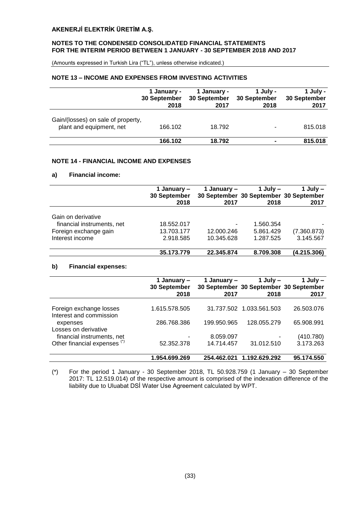#### **NOTES TO THE CONDENSED CONSOLIDATED FINANCIAL STATEMENTS FOR THE INTERIM PERIOD BETWEEN 1 JANUARY - 30 SEPTEMBER 2018 AND 2017**

(Amounts expressed in Turkish Lira ("TL"), unless otherwise indicated.)

## **NOTE 13 – INCOME AND EXPENSES FROM INVESTING ACTIVITIES**

|                                                                | 1 January -<br>30 September<br>2018 | 1 January -<br>30 September<br>2017 | 1 July -<br>30 September<br>2018 | 1 July -<br>30 September<br>2017 |
|----------------------------------------------------------------|-------------------------------------|-------------------------------------|----------------------------------|----------------------------------|
| Gain/(losses) on sale of property,<br>plant and equipment, net | 166.102                             | 18.792                              | ٠                                | 815.018                          |
|                                                                | 166.102                             | 18.792                              | $\blacksquare$                   | 815.018                          |

## **NOTE 14 - FINANCIAL INCOME AND EXPENSES**

#### **a) Financial income:**

|                            | 1 January –<br>30 September<br>2018 | 1 January –<br>2017 | $1$ July $-$<br>30 September 30 September 30 September<br>2018 | $1$ July $-$<br>2017 |
|----------------------------|-------------------------------------|---------------------|----------------------------------------------------------------|----------------------|
| Gain on derivative         |                                     |                     |                                                                |                      |
| financial instruments, net | 18.552.017                          | ۰                   | 1.560.354                                                      |                      |
| Foreign exchange gain      | 13.703.177                          | 12.000.246          | 5.861.429                                                      | (7.360.873)          |
| Interest income            | 2.918.585                           | 10.345.628          | 1.287.525                                                      | 3.145.567            |
|                            | 35.173.779                          | 22.345.874          | 8.709.308                                                      | (4.215.306)          |

#### **b) Financial expenses:**

|                                                    | 1 January –<br>30 September<br>2018 | 1 January –<br>2017 | 1 July –<br>30 September 30 September 30 September<br>2018 | $1$ July $-$<br>2017 |
|----------------------------------------------------|-------------------------------------|---------------------|------------------------------------------------------------|----------------------|
| Foreign exchange losses<br>Interest and commission | 1.615.578.505                       |                     | 31.737.502 1.033.561.503                                   | 26.503.076           |
| expenses<br>Losses on derivative                   | 286.768.386                         | 199.950.965         | 128.055.279                                                | 65.908.991           |
| financial instruments, net                         | ٠                                   | 8.059.097           |                                                            | (410.780)            |
| Other financial expenses (*)                       | 52.352.378                          | 14.714.457          | 31.012.510                                                 | 3.173.263            |
|                                                    | 1.954.699.269                       | 254.462.021         | 1.192.629.292                                              | 95.174.550           |

(\*) For the period 1 January - 30 September 2018, TL 50.928.759 (1 January – 30 September 2017: TL 12.519.014) of the respective amount is comprised of the indexation difference of the liability due to Uluabat DSİ Water Use Agreement calculated by WPT.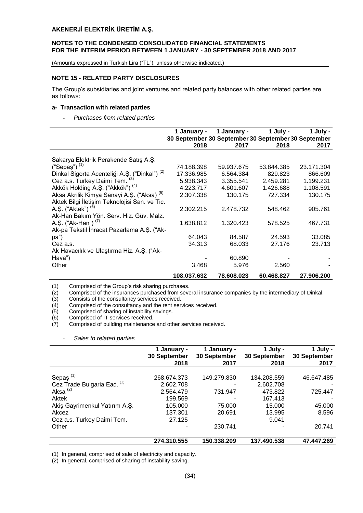#### **NOTES TO THE CONDENSED CONSOLIDATED FINANCIAL STATEMENTS FOR THE INTERIM PERIOD BETWEEN 1 JANUARY - 30 SEPTEMBER 2018 AND 2017**

(Amounts expressed in Turkish Lira ("TL"), unless otherwise indicated.)

## **NOTE 15 - RELATED PARTY DISCLOSURES**

The Group's subsidiaries and joint ventures and related party balances with other related parties are as follows:

#### **a- Transaction with related parties**

- *Purchases from related parties*

|                                                          | 1 January -                                         | 1 January - | 1 July -   | 1 July -   |
|----------------------------------------------------------|-----------------------------------------------------|-------------|------------|------------|
|                                                          | 30 September 30 September 30 September 30 September |             |            |            |
|                                                          | 2018                                                | 2017        | 2018       | 2017       |
|                                                          |                                                     |             |            |            |
| Sakarya Elektrik Perakende Satış A.Ş.                    |                                                     |             |            |            |
| ("Sepas") $(1)$                                          | 74.188.398                                          | 59.937.675  | 53.844.385 | 23.171.304 |
| Dinkal Sigorta Acenteliği A.Ş. ("Dinkal") <sup>(2)</sup> | 17.336.985                                          | 6.564.384   | 829.823    | 866,609    |
| Cez a.s. Turkey Daimi Tem. (3)                           | 5.938.343                                           | 3.355.541   | 2.459.281  | 1.199.231  |
| Akkök Holding A.S. ("Akkök") <sup>(4)</sup>              | 4.223.717                                           | 4.601.607   | 1.426.688  | 1.108.591  |
| Aksa Akrilik Kimya Sanayi A.Ş. ("Aksa) <sup>(5)</sup>    | 2.307.338                                           | 130.175     | 727.334    | 130.175    |
| Aktek Bilgi İletişim Teknolojisi San. ve Tic.            |                                                     |             |            |            |
| A.S. ("Aktek") (6)                                       | 2.302.215                                           | 2.478.732   | 548.462    | 905.761    |
| Ak-Han Bakım Yön. Serv. Hiz. Güv. Malz.                  |                                                     |             |            |            |
| A.S. ("Ak-Han") <sup>(7)</sup>                           | 1.638.812                                           | 1.320.423   | 578.525    | 467.731    |
| Ak-pa Tekstil İhracat Pazarlama A.Ş. ("Ak-               |                                                     |             |            |            |
| pa")                                                     | 64.043                                              | 84.587      | 24.593     | 33.085     |
| Cez a.s.                                                 | 34.313                                              | 68.033      | 27.176     | 23.713     |
| Ak Havacılık ve Ulaştırma Hiz. A.Ş. ("Ak-                |                                                     |             |            |            |
| Hava")                                                   |                                                     | 60.890      |            |            |
| Other                                                    | 3.468                                               | 5.976       | 2.560      |            |
|                                                          |                                                     |             |            |            |
|                                                          | 108.037.632                                         | 78.608.023  | 60.468.827 | 27.906.200 |

(1) Comprised of the Group's risk sharing purchases.<br>
(2) Comprised of the insurances purchased from seve<br>
(3) Consists of the consultancy services received. Comprised of the insurances purchased from several insurance companies by the intermediary of Dinkal.

(3) Consists of the consultancy services received.<br>(4) Comprised of the consultancy and the rent ser  $\overline{A}$  Comprised of the consultancy and the rent services received.<br>(5) Comprised of sharing of instability savings.

Comprised of sharing of instability savings.

(6) Comprised of IT services received.<br>(7) Comprised of building maintenance

Comprised of building maintenance and other services received.

- *Sales to related parties*

|                               | 1 January -<br>30 September<br>2018 | 1 January -<br>30 September<br>2017 | 1 July -<br>30 September<br>2018 | $1$ July -<br>30 September<br>2017 |
|-------------------------------|-------------------------------------|-------------------------------------|----------------------------------|------------------------------------|
|                               |                                     |                                     |                                  |                                    |
| Sepaş <sup>(1)</sup>          | 268.674.373                         | 149.279.830                         | 134.208.559                      | 46.647.485                         |
| Cez Trade Bulgaria Ead. (1)   | 2.602.708                           |                                     | 2.602.708                        |                                    |
| Aksa $^{(2)}$                 | 2.564.479                           | 731.947                             | 473.822                          | 725.447                            |
| Aktek                         | 199.569                             |                                     | 167.413                          |                                    |
| Akiş Gayrimenkul Yatırım A.Ş. | 105.000                             | 75,000                              | 15.000                           | 45.000                             |
| Akcez                         | 137.301                             | 20.691                              | 13.995                           | 8.596                              |
| Cez a.s. Turkey Daimi Tem.    | 27.125                              |                                     | 9.041                            |                                    |
| Other                         |                                     | 230.741                             |                                  | 20.741                             |
|                               | 274.310.555                         | 150.338.209                         | 137.490.538                      | 47.447.269                         |

(1) In general, comprised of sale of electricity and capacity.

(2) In general, comprised of sharing of instability saving.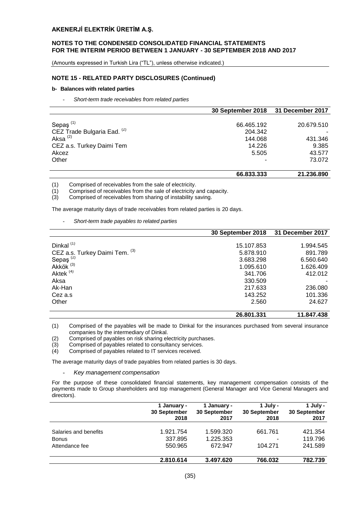#### **NOTES TO THE CONDENSED CONSOLIDATED FINANCIAL STATEMENTS FOR THE INTERIM PERIOD BETWEEN 1 JANUARY - 30 SEPTEMBER 2018 AND 2017**

(Amounts expressed in Turkish Lira ("TL"), unless otherwise indicated.)

#### **NOTE 15 - RELATED PARTY DISCLOSURES (Continued)**

#### **b- Balances with related parties**

- *Short-term trade receivables from related parties*

|                             | 30 September 2018 31 December 2017 |            |
|-----------------------------|------------------------------------|------------|
|                             |                                    |            |
| Sepaş <sup>(1)</sup>        | 66.465.192                         | 20.679.510 |
| CEZ Trade Bulgaria Ead. (2) | 204.342                            |            |
| Aksa $(2)$                  | 144.068                            | 431.346    |
| CEZ a.s. Turkey Daimi Tem   | 14.226                             | 9.385      |
| Akcez                       | 5.505                              | 43.577     |
| Other                       |                                    | 73.072     |
|                             | 66.833.333                         | 21.236.890 |

(1) Comprised of receivables from the sale of electricity.<br>(1) Comprised of receivables from the sale of electricity

(1) Comprised of receivables from the sale of electricity and capacity.<br>(3) Comprised of receivables from sharing of instability saving. Comprised of receivables from sharing of instability saving.

The average maturity days of trade receivables from related parties is 20 days.

- *Short-term trade payables to related parties*

|                                | 30 September 2018 | 31 December 2017 |
|--------------------------------|-------------------|------------------|
|                                |                   |                  |
| Dinkal <sup>(1)</sup>          | 15.107.853        | 1.994.545        |
| CEZ a.s. Turkey Daimi Tem. (3) | 5.878.910         | 891.789          |
| Sepaş $\frac{2}{2}$            | 3.683.298         | 6.560.640        |
| Akkök <sup>(3)</sup>           | 1.095.610         | 1.626.409        |
| Aktek <sup>(4)</sup>           | 341.706           | 412.012          |
| Aksa                           | 330,509           |                  |
| Ak-Han                         | 217.633           | 236.080          |
| Cez a.s                        | 143.252           | 101.336          |
| Other                          | 2.560             | 24.627           |
|                                | 26.801.331        | 11.847.438       |

(1) Comprised of the payables will be made to Dinkal for the insurances purchased from several insurance companies by the intermediary of Dinkal.

(2) Comprised of payables on risk sharing electricity purchases.

(3) Comprised of payables related to consultancy services.<br>(4) Comprised of payables related to IT services received.

Comprised of payables related to IT services received.

The average maturity days of trade payables from related parties is 30 days.

- *Key management compensation*

For the purpose of these consolidated financial statements, key management compensation consists of the payments made to Group shareholders and top management (General Manager and Vice General Managers and directors).

|                       | 1 January -<br>30 September<br>2018 | 1 January -<br>30 September<br>2017 | 1 July -<br>30 September<br>2018 | 1 July -<br><b>30 September</b><br>2017 |
|-----------------------|-------------------------------------|-------------------------------------|----------------------------------|-----------------------------------------|
|                       |                                     |                                     |                                  |                                         |
| Salaries and benefits | 1.921.754                           | 1.599.320                           | 661.761                          | 421.354                                 |
| <b>Bonus</b>          | 337.895                             | 1.225.353                           |                                  | 119.796                                 |
| Attendance fee        | 550.965                             | 672.947                             | 104.271                          | 241.589                                 |
|                       | 2.810.614                           | 3.497.620                           | 766.032                          | 782.739                                 |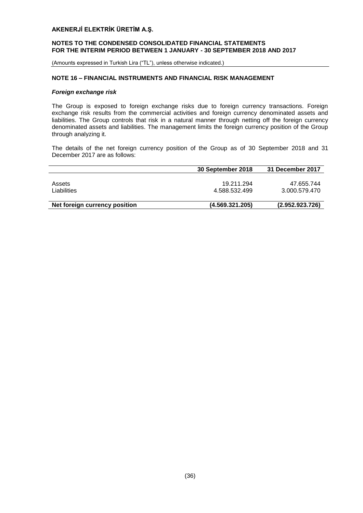#### **NOTES TO THE CONDENSED CONSOLIDATED FINANCIAL STATEMENTS FOR THE INTERIM PERIOD BETWEEN 1 JANUARY - 30 SEPTEMBER 2018 AND 2017**

(Amounts expressed in Turkish Lira ("TL"), unless otherwise indicated.)

## **NOTE 16 – FINANCIAL INSTRUMENTS AND FINANCIAL RISK MANAGEMENT**

#### *Foreign exchange risk*

The Group is exposed to foreign exchange risks due to foreign currency transactions. Foreign exchange risk results from the commercial activities and foreign currency denominated assets and liabilities. The Group controls that risk in a natural manner through netting off the foreign currency denominated assets and liabilities. The management limits the foreign currency position of the Group through analyzing it.

The details of the net foreign currency position of the Group as of 30 September 2018 and 31 December 2017 are as follows:

|                               | 30 September 2018 | 31 December 2017 |
|-------------------------------|-------------------|------------------|
|                               |                   |                  |
| Assets                        | 19.211.294        | 47.655.744       |
| Liabilities                   | 4.588.532.499     | 3.000.579.470    |
|                               |                   |                  |
| Net foreign currency position | (4.569.321.205)   | (2.952.923.726)  |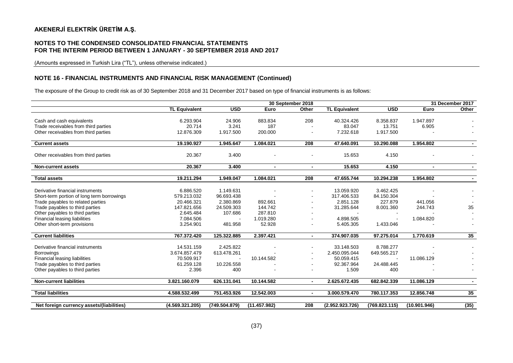#### **NOTES TO THE CONDENSED CONSOLIDATED FINANCIAL STATEMENTS FOR THE INTERIM PERIOD BETWEEN 1 JANUARY - 30 SEPTEMBER 2018 AND 2017**

(Amounts expressed in Turkish Lira ("TL"), unless otherwise indicated.)

## **NOTE 16 - FINANCIAL INSTRUMENTS AND FINANCIAL RISK MANAGEMENT (Continued)**

The exposure of the Group to credit risk as of 30 September 2018 and 31 December 2017 based on type of financial instruments is as follows:

|                                            |                      | 30 September 2018 |              |                          |                      |               | 31 December 2017 |       |
|--------------------------------------------|----------------------|-------------------|--------------|--------------------------|----------------------|---------------|------------------|-------|
|                                            | <b>TL Equivalent</b> | <b>USD</b>        | Euro         | Other                    | <b>TL Equivalent</b> | <b>USD</b>    | Euro             | Other |
|                                            |                      |                   |              |                          |                      |               |                  |       |
| Cash and cash equivalents                  | 6.293.904            | 24.906            | 883.834      | 208                      | 40.324.426           | 8.358.837     | 1.947.897        |       |
| Trade receivables from third parties       | 20.714               | 3.241             | 187          |                          | 83.047               | 13.751        | 6.905            |       |
| Other receivables from third parties       | 12.876.309           | 1.917.500         | 200.000      |                          | 7.232.618            | 1.917.500     |                  |       |
| <b>Current assets</b>                      | 19.190.927           | 1.945.647         | 1.084.021    | 208                      | 47.640.091           | 10.290.088    | 1.954.802        |       |
|                                            |                      |                   |              |                          |                      |               |                  |       |
| Other receivables from third parties       | 20.367               | 3.400             |              |                          | 15.653               | 4.150         |                  |       |
| <b>Non-current assets</b>                  | 20.367               | 3.400             |              | $\overline{\phantom{a}}$ | 15.653               | 4.150         | $\blacksquare$   |       |
| <b>Total assets</b>                        | 19.211.294           | 1.949.047         | 1.084.021    | 208                      | 47.655.744           | 10.294.238    | 1.954.802        |       |
|                                            |                      |                   |              |                          |                      |               |                  |       |
| Derivative financial instruments           | 6.886.520            | 1.149.631         |              |                          | 13.059.920           | 3.462.425     |                  |       |
| Short-term portion of long term borrowings | 579.213.032          | 96.693.438        |              |                          | 317.406.533          | 84.150.304    |                  |       |
| Trade payables to related parties          | 20.466.321           | 2.380.869         | 892.661      |                          | 2.851.128            | 227.879       | 441.056          |       |
| Trade payables to third parties            | 147.821.656          | 24.509.303        | 144.742      |                          | 31.285.644           | 8.001.360     | 244.743          | 35    |
| Other payables to third parties            | 2.645.484            | 107.686           | 287.810      |                          |                      |               |                  |       |
| Financial leasing liabilities              | 7.084.506            |                   | 1.019.280    |                          | 4.898.505            |               | 1.084.820        |       |
| Other short-term provisions                | 3.254.901            | 481.958           | 52.928       | $\blacksquare$           | 5.405.305            | 1.433.046     |                  |       |
| <b>Current liabilities</b>                 | 767.372.420          | 125.322.885       | 2.397.421    | $\blacksquare$           | 374.907.035          | 97.275.014    | 1.770.619        | 35    |
|                                            |                      |                   |              |                          |                      |               |                  |       |
| Derivative financial instruments           | 14.531.159           | 2.425.822         |              |                          | 33.148.503           | 8.788.277     |                  |       |
| <b>Borrowings</b>                          | 3.674.857.479        | 613.478.261       |              |                          | 2.450.095.044        | 649.565.217   |                  |       |
| Financial leasing liabilities              | 70.509.917           |                   | 10.144.582   |                          | 50.059.415           |               | 11.086.129       |       |
| Trade payables to third parties            | 61.259.128           | 10.226.558        |              |                          | 92.367.964           | 24.488.445    |                  |       |
| Other payables to third parties            | 2.396                | 400               |              |                          | 1.509                | 400           |                  |       |
| <b>Non-current liabilities</b>             | 3.821.160.079        | 626.131.041       | 10.144.582   |                          | 2.625.672.435        | 682.842.339   | 11.086.129       |       |
| <b>Total liabilities</b>                   | 4.588.532.499        | 751.453.926       | 12.542.003   |                          | 3.000.579.470        | 780.117.353   | 12.856.748       | 35    |
|                                            |                      |                   |              |                          |                      |               |                  |       |
| Net foreign currency assets/(liabilities)  | (4.569.321.205)      | (749.504.879)     | (11.457.982) | 208                      | (2.952.923.726)      | (769.823.115) | (10.901.946)     | (35)  |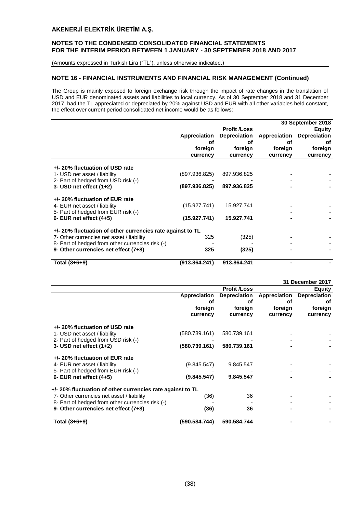## **NOTES TO THE CONDENSED CONSOLIDATED FINANCIAL STATEMENTS FOR THE INTERIM PERIOD BETWEEN 1 JANUARY - 30 SEPTEMBER 2018 AND 2017**

(Amounts expressed in Turkish Lira ("TL"), unless otherwise indicated.)

## **NOTE 16 - FINANCIAL INSTRUMENTS AND FINANCIAL RISK MANAGEMENT (Continued)**

The Group is mainly exposed to foreign exchange risk through the impact of rate changes in the translation of USD and EUR denominated assets and liabilities to local currency. As of 30 September 2018 and 31 December 2017, had the TL appreciated or depreciated by 20% against USD and EUR with all other variables held constant, the effect over current period consolidated net income would be as follows:

|                                                            |                                                 | 30 September 2018                         |                     |  |  |  |
|------------------------------------------------------------|-------------------------------------------------|-------------------------------------------|---------------------|--|--|--|
|                                                            | <b>Profit /Loss</b>                             |                                           | <b>Equity</b>       |  |  |  |
| Appreciation                                               | Depreciation                                    | Appreciation                              | <b>Depreciation</b> |  |  |  |
| οf                                                         | οf                                              | οf                                        | οf                  |  |  |  |
| foreign                                                    | foreign                                         | foreign                                   | foreign             |  |  |  |
| currency                                                   | currency                                        | currency                                  | currency            |  |  |  |
|                                                            |                                                 |                                           |                     |  |  |  |
|                                                            |                                                 |                                           |                     |  |  |  |
|                                                            |                                                 |                                           |                     |  |  |  |
|                                                            |                                                 |                                           |                     |  |  |  |
|                                                            |                                                 |                                           |                     |  |  |  |
| (15.927.741)                                               | 15.927.741                                      |                                           |                     |  |  |  |
|                                                            |                                                 |                                           |                     |  |  |  |
| (15.927.741)                                               | 15.927.741                                      |                                           |                     |  |  |  |
| +/- 20% fluctuation of other currencies rate against to TL |                                                 |                                           |                     |  |  |  |
| 325                                                        | (325)                                           |                                           |                     |  |  |  |
|                                                            |                                                 |                                           |                     |  |  |  |
| 325                                                        | (325)                                           |                                           |                     |  |  |  |
|                                                            |                                                 |                                           |                     |  |  |  |
|                                                            | (897.936.825)<br>(897.936.825)<br>(913.864.241) | 897.936.825<br>897.936.825<br>913.864.241 |                     |  |  |  |

| 31 December 2017                                                 |               |                     |              |                     |  |  |
|------------------------------------------------------------------|---------------|---------------------|--------------|---------------------|--|--|
|                                                                  |               | <b>Profit /Loss</b> |              | <b>Equity</b>       |  |  |
|                                                                  | Appreciation  | <b>Depreciation</b> | Appreciation | <b>Depreciation</b> |  |  |
|                                                                  | οf            | оf                  | οf           | οf                  |  |  |
|                                                                  | foreign       | foreign             | foreign      | foreign             |  |  |
|                                                                  | currency      | currency            | currency     | currency            |  |  |
| +/- 20% fluctuation of USD rate<br>1- USD net asset / liability  | (580.739.161) | 580.739.161         |              |                     |  |  |
| 2- Part of hedged from USD risk (-)<br>3- USD net effect $(1+2)$ | (580.739.161) | 580.739.161         |              |                     |  |  |
| +/- 20% fluctuation of EUR rate<br>4- EUR net asset / liability  | (9.845.547)   | 9.845.547           |              |                     |  |  |
| 5- Part of hedged from EUR risk (-)                              |               |                     |              |                     |  |  |
| 6- EUR net effect $(4+5)$                                        | (9.845.547)   | 9.845.547           |              |                     |  |  |
| +/- 20% fluctuation of other currencies rate against to TL       |               |                     |              |                     |  |  |
| 7- Other currencies net asset / liability                        | (36)          | 36                  |              |                     |  |  |
| 8- Part of hedged from other currencies risk (-)                 |               |                     |              |                     |  |  |
| 9- Other currencies net effect (7+8)                             | (36)          | 36                  |              |                     |  |  |
| Total (3+6+9)                                                    | (590.584.744) | 590.584.744         |              |                     |  |  |